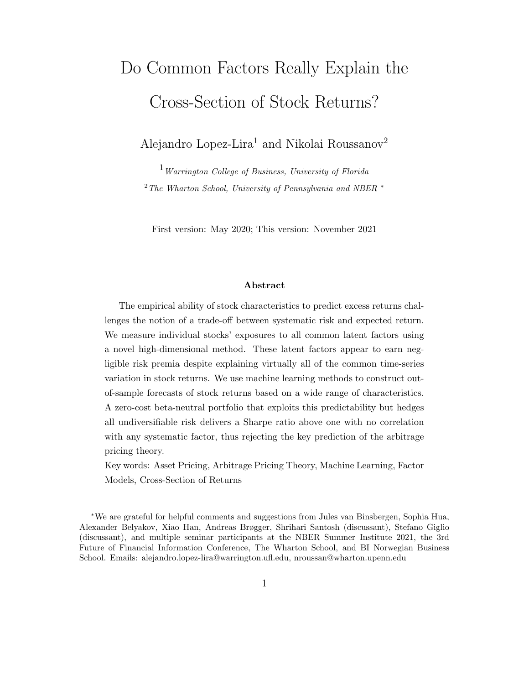# Do Common Factors Really Explain the Cross-Section of Stock Returns?

Alejandro Lopez-Lira<sup>1</sup> and Nikolai Roussanov<sup>2</sup>

 $1$  Warrington College of Business, University of Florida  $2$ <sup>2</sup>The Wharton School, University of Pennsylvania and NBER  $*$ 

First version: May 2020; This version: November 2021

#### Abstract

The empirical ability of stock characteristics to predict excess returns challenges the notion of a trade-off between systematic risk and expected return. We measure individual stocks' exposures to all common latent factors using a novel high-dimensional method. These latent factors appear to earn negligible risk premia despite explaining virtually all of the common time-series variation in stock returns. We use machine learning methods to construct outof-sample forecasts of stock returns based on a wide range of characteristics. A zero-cost beta-neutral portfolio that exploits this predictability but hedges all undiversifiable risk delivers a Sharpe ratio above one with no correlation with any systematic factor, thus rejecting the key prediction of the arbitrage pricing theory.

Key words: Asset Pricing, Arbitrage Pricing Theory, Machine Learning, Factor Models, Cross-Section of Returns

<sup>∗</sup>We are grateful for helpful comments and suggestions from Jules van Binsbergen, Sophia Hua, Alexander Belyakov, Xiao Han, Andreas Brøgger, Shrihari Santosh (discussant), Stefano Giglio (discussant), and multiple seminar participants at the NBER Summer Institute 2021, the 3rd Future of Financial Information Conference, The Wharton School, and BI Norwegian Business School. Emails: alejandro.lopez-lira@warrington.ufl.edu, nroussan@wharton.upenn.edu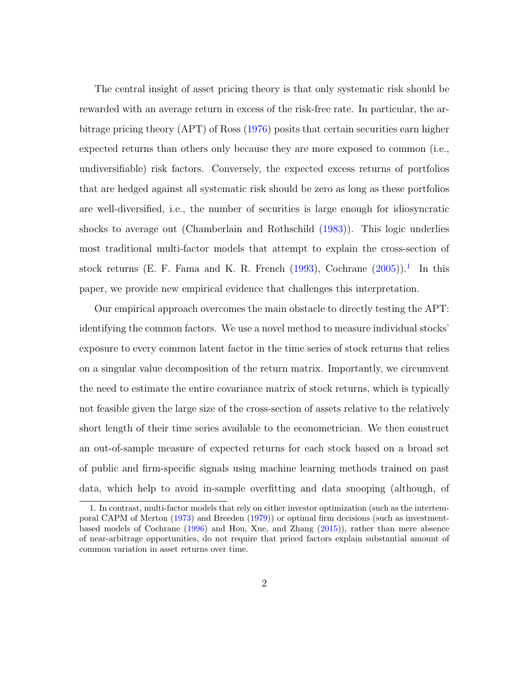The central insight of asset pricing theory is that only systematic risk should be rewarded with an average return in excess of the risk-free rate. In particular, the arbitrage pricing theory (APT) of Ross [\(1976\)](#page-42-0) posits that certain securities earn higher expected returns than others only because they are more exposed to common (i.e., undiversifiable) risk factors. Conversely, the expected excess returns of portfolios that are hedged against all systematic risk should be zero as long as these portfolios are well-diversified, i.e., the number of securities is large enough for idiosyncratic shocks to average out (Chamberlain and Rothschild [\(1983\)](#page-34-0)). This logic underlies most traditional multi-factor models that attempt to explain the cross-section of stock returns (E. F. Fama and K. R. French  $(1993)$ , Cochrane  $(2005)$ ).<sup>[1](#page-1-0)</sup> In this paper, we provide new empirical evidence that challenges this interpretation.

Our empirical approach overcomes the main obstacle to directly testing the APT: identifying the common factors. We use a novel method to measure individual stocks' exposure to every common latent factor in the time series of stock returns that relies on a singular value decomposition of the return matrix. Importantly, we circumvent the need to estimate the entire covariance matrix of stock returns, which is typically not feasible given the large size of the cross-section of assets relative to the relatively short length of their time series available to the econometrician. We then construct an out-of-sample measure of expected returns for each stock based on a broad set of public and firm-specific signals using machine learning methods trained on past data, which help to avoid in-sample overfitting and data snooping (although, of

<span id="page-1-0"></span><sup>1.</sup> In contrast, multi-factor models that rely on either investor optimization (such as the intertemporal CAPM of Merton [\(1973\)](#page-41-0) and Breeden [\(1979\)](#page-34-1)) or optimal firm decisions (such as investmentbased models of Cochrane [\(1996\)](#page-35-1) and Hou, Xue, and Zhang [\(2015\)](#page-38-0)), rather than mere absence of near-arbitrage opportunities, do not require that priced factors explain substantial amount of common variation in asset returns over time.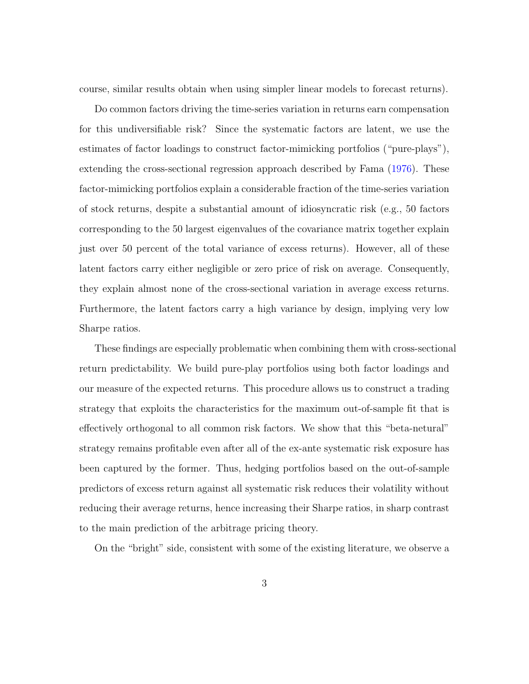course, similar results obtain when using simpler linear models to forecast returns).

Do common factors driving the time-series variation in returns earn compensation for this undiversifiable risk? Since the systematic factors are latent, we use the estimates of factor loadings to construct factor-mimicking portfolios ("pure-plays"), extending the cross-sectional regression approach described by Fama [\(1976\)](#page-36-1). These factor-mimicking portfolios explain a considerable fraction of the time-series variation of stock returns, despite a substantial amount of idiosyncratic risk (e.g., 50 factors corresponding to the 50 largest eigenvalues of the covariance matrix together explain just over 50 percent of the total variance of excess returns). However, all of these latent factors carry either negligible or zero price of risk on average. Consequently, they explain almost none of the cross-sectional variation in average excess returns. Furthermore, the latent factors carry a high variance by design, implying very low Sharpe ratios.

These findings are especially problematic when combining them with cross-sectional return predictability. We build pure-play portfolios using both factor loadings and our measure of the expected returns. This procedure allows us to construct a trading strategy that exploits the characteristics for the maximum out-of-sample fit that is effectively orthogonal to all common risk factors. We show that this "beta-netural" strategy remains profitable even after all of the ex-ante systematic risk exposure has been captured by the former. Thus, hedging portfolios based on the out-of-sample predictors of excess return against all systematic risk reduces their volatility without reducing their average returns, hence increasing their Sharpe ratios, in sharp contrast to the main prediction of the arbitrage pricing theory.

On the "bright" side, consistent with some of the existing literature, we observe a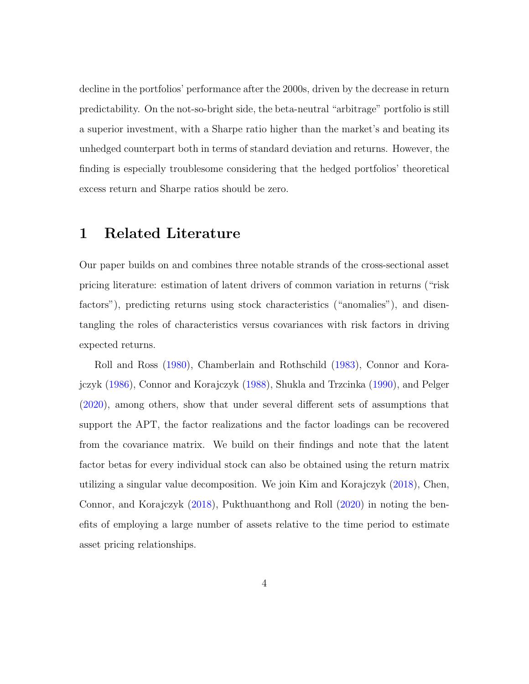decline in the portfolios' performance after the 2000s, driven by the decrease in return predictability. On the not-so-bright side, the beta-neutral "arbitrage" portfolio is still a superior investment, with a Sharpe ratio higher than the market's and beating its unhedged counterpart both in terms of standard deviation and returns. However, the finding is especially troublesome considering that the hedged portfolios' theoretical excess return and Sharpe ratios should be zero.

## 1 Related Literature

Our paper builds on and combines three notable strands of the cross-sectional asset pricing literature: estimation of latent drivers of common variation in returns ("risk factors"), predicting returns using stock characteristics ("anomalies"), and disentangling the roles of characteristics versus covariances with risk factors in driving expected returns.

Roll and Ross [\(1980\)](#page-41-1), Chamberlain and Rothschild [\(1983\)](#page-34-0), Connor and Korajczyk [\(1986\)](#page-35-2), Connor and Korajczyk [\(1988\)](#page-35-3), Shukla and Trzcinka [\(1990\)](#page-42-1), and Pelger [\(2020\)](#page-41-2), among others, show that under several different sets of assumptions that support the APT, the factor realizations and the factor loadings can be recovered from the covariance matrix. We build on their findings and note that the latent factor betas for every individual stock can also be obtained using the return matrix utilizing a singular value decomposition. We join Kim and Korajczyk [\(2018\)](#page-39-0), Chen, Connor, and Korajczyk [\(2018\)](#page-34-2), Pukthuanthong and Roll [\(2020\)](#page-41-3) in noting the benefits of employing a large number of assets relative to the time period to estimate asset pricing relationships.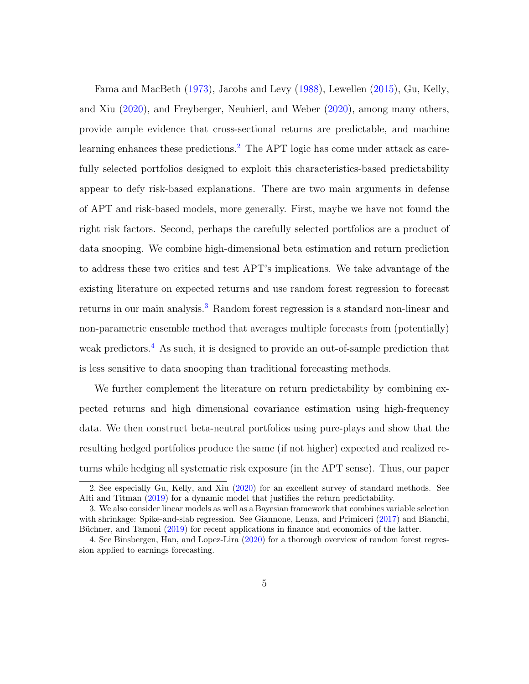Fama and MacBeth [\(1973\)](#page-37-0), Jacobs and Levy [\(1988\)](#page-38-1), Lewellen [\(2015\)](#page-40-0), Gu, Kelly, and Xiu [\(2020\)](#page-38-2), and Freyberger, Neuhierl, and Weber [\(2020\)](#page-37-1), among many others, provide ample evidence that cross-sectional returns are predictable, and machine learning enhances these predictions.<sup>[2](#page-4-0)</sup> The APT logic has come under attack as carefully selected portfolios designed to exploit this characteristics-based predictability appear to defy risk-based explanations. There are two main arguments in defense of APT and risk-based models, more generally. First, maybe we have not found the right risk factors. Second, perhaps the carefully selected portfolios are a product of data snooping. We combine high-dimensional beta estimation and return prediction to address these two critics and test APT's implications. We take advantage of the existing literature on expected returns and use random forest regression to forecast returns in our main analysis.<sup>[3](#page-4-1)</sup> Random forest regression is a standard non-linear and non-parametric ensemble method that averages multiple forecasts from (potentially) weak predictors.[4](#page-4-2) As such, it is designed to provide an out-of-sample prediction that is less sensitive to data snooping than traditional forecasting methods.

We further complement the literature on return predictability by combining expected returns and high dimensional covariance estimation using high-frequency data. We then construct beta-neutral portfolios using pure-plays and show that the resulting hedged portfolios produce the same (if not higher) expected and realized returns while hedging all systematic risk exposure (in the APT sense). Thus, our paper

<span id="page-4-0"></span><sup>2.</sup> See especially Gu, Kelly, and Xiu [\(2020\)](#page-38-2) for an excellent survey of standard methods. See Alti and Titman [\(2019\)](#page-33-0) for a dynamic model that justifies the return predictability.

<span id="page-4-1"></span><sup>3.</sup> We also consider linear models as well as a Bayesian framework that combines variable selection with shrinkage: Spike-and-slab regression. See Giannone, Lenza, and Primiceri [\(2017\)](#page-37-2) and Bianchi, Büchner, and Tamoni [\(2019\)](#page-33-1) for recent applications in finance and economics of the latter.

<span id="page-4-2"></span><sup>4.</sup> See Binsbergen, Han, and Lopez-Lira [\(2020\)](#page-33-2) for a thorough overview of random forest regression applied to earnings forecasting.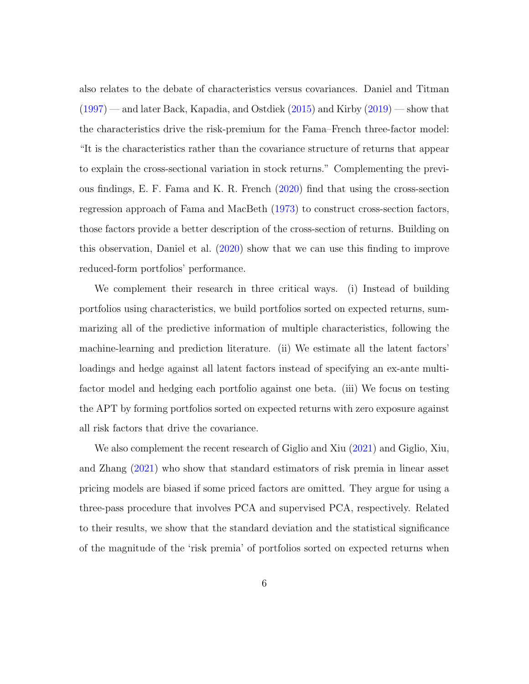also relates to the debate of characteristics versus covariances. Daniel and Titman [\(1997\)](#page-36-2) — and later Back, Kapadia, and Ostdiek [\(2015\)](#page-33-3) and Kirby [\(2019\)](#page-39-1) — show that the characteristics drive the risk-premium for the Fama–French three-factor model: "It is the characteristics rather than the covariance structure of returns that appear to explain the cross-sectional variation in stock returns." Complementing the previous findings, E. F. Fama and K. R. French [\(2020\)](#page-36-3) find that using the cross-section regression approach of Fama and MacBeth [\(1973\)](#page-37-0) to construct cross-section factors, those factors provide a better description of the cross-section of returns. Building on this observation, Daniel et al. [\(2020\)](#page-35-4) show that we can use this finding to improve reduced-form portfolios' performance.

We complement their research in three critical ways. (i) Instead of building portfolios using characteristics, we build portfolios sorted on expected returns, summarizing all of the predictive information of multiple characteristics, following the machine-learning and prediction literature. (ii) We estimate all the latent factors' loadings and hedge against all latent factors instead of specifying an ex-ante multifactor model and hedging each portfolio against one beta. (iii) We focus on testing the APT by forming portfolios sorted on expected returns with zero exposure against all risk factors that drive the covariance.

We also complement the recent research of Giglio and Xiu [\(2021\)](#page-37-3) and Giglio, Xiu, and Zhang [\(2021\)](#page-37-4) who show that standard estimators of risk premia in linear asset pricing models are biased if some priced factors are omitted. They argue for using a three-pass procedure that involves PCA and supervised PCA, respectively. Related to their results, we show that the standard deviation and the statistical significance of the magnitude of the 'risk premia' of portfolios sorted on expected returns when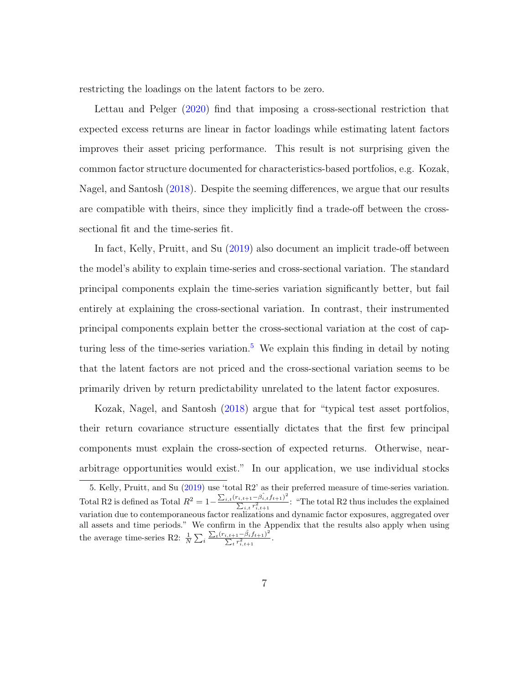restricting the loadings on the latent factors to be zero.

Lettau and Pelger [\(2020\)](#page-40-1) find that imposing a cross-sectional restriction that expected excess returns are linear in factor loadings while estimating latent factors improves their asset pricing performance. This result is not surprising given the common factor structure documented for characteristics-based portfolios, e.g. Kozak, Nagel, and Santosh [\(2018\)](#page-40-2). Despite the seeming differences, we argue that our results are compatible with theirs, since they implicitly find a trade-off between the crosssectional fit and the time-series fit.

In fact, Kelly, Pruitt, and Su [\(2019\)](#page-39-2) also document an implicit trade-off between the model's ability to explain time-series and cross-sectional variation. The standard principal components explain the time-series variation significantly better, but fail entirely at explaining the cross-sectional variation. In contrast, their instrumented principal components explain better the cross-sectional variation at the cost of cap-turing less of the time-series variation.<sup>[5](#page-6-0)</sup> We explain this finding in detail by noting that the latent factors are not priced and the cross-sectional variation seems to be primarily driven by return predictability unrelated to the latent factor exposures.

Kozak, Nagel, and Santosh [\(2018\)](#page-40-2) argue that for "typical test asset portfolios, their return covariance structure essentially dictates that the first few principal components must explain the cross-section of expected returns. Otherwise, neararbitrage opportunities would exist." In our application, we use individual stocks

<span id="page-6-0"></span><sup>5.</sup> Kelly, Pruitt, and Su [\(2019\)](#page-39-2) use 'total R2' as their preferred measure of time-series variation. Total R2 is defined as Total  $R^2 = 1 - \frac{\sum_{i,t} (r_{i,t+1} - \hat{\beta}_{i,t} f_{t+1})^2}{\sum_{i} r_i^2}$  $\frac{P_{i,t+1} - p_{i,t}P_{i+1}}{\sum_{i,t} r_{i,t+1}^2}$ : "The total R2 thus includes the explained variation due to contemporaneous factor realizations and dynamic factor exposures, aggregated over all assets and time periods." We confirm in the Appendix that the results also apply when using the average time-series R2:  $\frac{1}{N} \sum_i$  $\sum_{t}(r_{i,t+1}-\hat{\beta}_{i}f_{t+1})^{2}$  $\frac{i,t+1-p_{iJt+1j}}{\sum_{t} r_{i,t+1}^2}$ .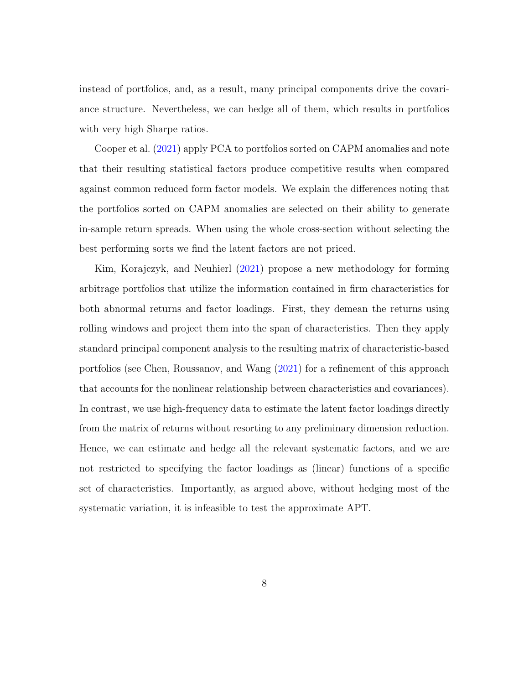instead of portfolios, and, as a result, many principal components drive the covariance structure. Nevertheless, we can hedge all of them, which results in portfolios with very high Sharpe ratios.

Cooper et al. [\(2021\)](#page-35-5) apply PCA to portfolios sorted on CAPM anomalies and note that their resulting statistical factors produce competitive results when compared against common reduced form factor models. We explain the differences noting that the portfolios sorted on CAPM anomalies are selected on their ability to generate in-sample return spreads. When using the whole cross-section without selecting the best performing sorts we find the latent factors are not priced.

Kim, Korajczyk, and Neuhierl [\(2021\)](#page-39-3) propose a new methodology for forming arbitrage portfolios that utilize the information contained in firm characteristics for both abnormal returns and factor loadings. First, they demean the returns using rolling windows and project them into the span of characteristics. Then they apply standard principal component analysis to the resulting matrix of characteristic-based portfolios (see Chen, Roussanov, and Wang [\(2021\)](#page-34-3) for a refinement of this approach that accounts for the nonlinear relationship between characteristics and covariances). In contrast, we use high-frequency data to estimate the latent factor loadings directly from the matrix of returns without resorting to any preliminary dimension reduction. Hence, we can estimate and hedge all the relevant systematic factors, and we are not restricted to specifying the factor loadings as (linear) functions of a specific set of characteristics. Importantly, as argued above, without hedging most of the systematic variation, it is infeasible to test the approximate APT.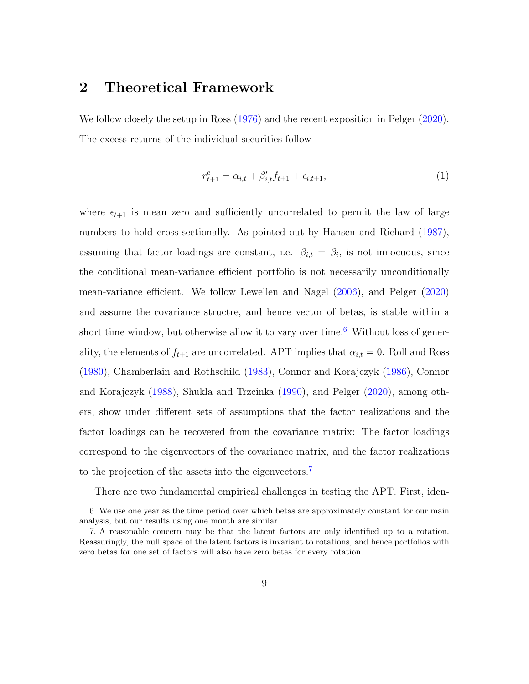### 2 Theoretical Framework

We follow closely the setup in Ross  $(1976)$  and the recent exposition in Pelger  $(2020)$ . The excess returns of the individual securities follow

$$
r_{t+1}^e = \alpha_{i,t} + \beta'_{i,t} f_{t+1} + \epsilon_{i,t+1},
$$
\n(1)

where  $\epsilon_{t+1}$  is mean zero and sufficiently uncorrelated to permit the law of large numbers to hold cross-sectionally. As pointed out by Hansen and Richard [\(1987\)](#page-38-3), assuming that factor loadings are constant, i.e.  $\beta_{i,t} = \beta_i$ , is not innocuous, since the conditional mean-variance efficient portfolio is not necessarily unconditionally mean-variance efficient. We follow Lewellen and Nagel [\(2006\)](#page-40-3), and Pelger [\(2020\)](#page-41-2) and assume the covariance structre, and hence vector of betas, is stable within a short time window, but otherwise allow it to vary over time.<sup>[6](#page-8-0)</sup> Without loss of generality, the elements of  $f_{t+1}$  are uncorrelated. APT implies that  $\alpha_{i,t} = 0$ . Roll and Ross [\(1980\)](#page-41-1), Chamberlain and Rothschild [\(1983\)](#page-34-0), Connor and Korajczyk [\(1986\)](#page-35-2), Connor and Korajczyk [\(1988\)](#page-35-3), Shukla and Trzcinka [\(1990\)](#page-42-1), and Pelger [\(2020\)](#page-41-2), among others, show under different sets of assumptions that the factor realizations and the factor loadings can be recovered from the covariance matrix: The factor loadings correspond to the eigenvectors of the covariance matrix, and the factor realizations to the projection of the assets into the eigenvectors.[7](#page-8-1)

<span id="page-8-0"></span>There are two fundamental empirical challenges in testing the APT. First, iden-

<sup>6.</sup> We use one year as the time period over which betas are approximately constant for our main analysis, but our results using one month are similar.

<span id="page-8-1"></span><sup>7.</sup> A reasonable concern may be that the latent factors are only identified up to a rotation. Reassuringly, the null space of the latent factors is invariant to rotations, and hence portfolios with zero betas for one set of factors will also have zero betas for every rotation.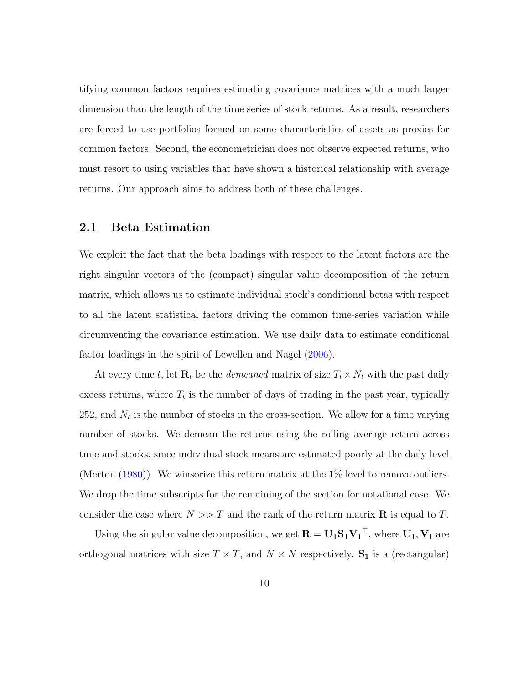tifying common factors requires estimating covariance matrices with a much larger dimension than the length of the time series of stock returns. As a result, researchers are forced to use portfolios formed on some characteristics of assets as proxies for common factors. Second, the econometrician does not observe expected returns, who must resort to using variables that have shown a historical relationship with average returns. Our approach aims to address both of these challenges.

#### <span id="page-9-0"></span>2.1 Beta Estimation

We exploit the fact that the beta loadings with respect to the latent factors are the right singular vectors of the (compact) singular value decomposition of the return matrix, which allows us to estimate individual stock's conditional betas with respect to all the latent statistical factors driving the common time-series variation while circumventing the covariance estimation. We use daily data to estimate conditional factor loadings in the spirit of Lewellen and Nagel [\(2006\)](#page-40-3).

At every time t, let  $\mathbf{R}_t$  be the *demeaned* matrix of size  $T_t \times N_t$  with the past daily excess returns, where  $T_t$  is the number of days of trading in the past year, typically 252, and  $N_t$  is the number of stocks in the cross-section. We allow for a time varying number of stocks. We demean the returns using the rolling average return across time and stocks, since individual stock means are estimated poorly at the daily level (Merton [\(1980\)](#page-41-4)). We winsorize this return matrix at the 1% level to remove outliers. We drop the time subscripts for the remaining of the section for notational ease. We consider the case where  $N >> T$  and the rank of the return matrix **R** is equal to T.

Using the singular value decomposition, we get  $\mathbf{R} = \mathbf{U_1} \mathbf{S_1} \mathbf{V_1}^\top$ , where  $\mathbf{U}_1, \mathbf{V}_1$  are orthogonal matrices with size  $T \times T$ , and  $N \times N$  respectively.  $S_1$  is a (rectangular)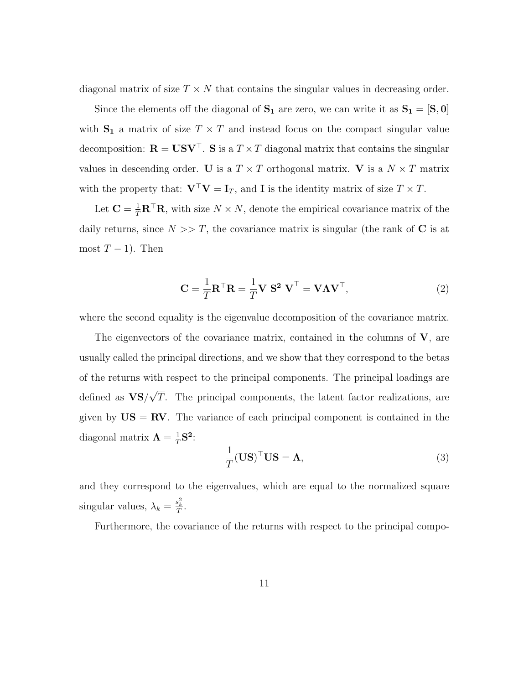diagonal matrix of size  $T \times N$  that contains the singular values in decreasing order.

Since the elements off the diagonal of  $S_1$  are zero, we can write it as  $S_1 = [S, 0]$ with  $S_1$  a matrix of size  $T \times T$  and instead focus on the compact singular value decomposition:  $\mathbf{R} = \mathbf{U} \mathbf{S} \mathbf{V}^\top$ . S is a  $T \times T$  diagonal matrix that contains the singular values in descending order. U is a  $T \times T$  orthogonal matrix. V is a  $N \times T$  matrix with the property that:  $\mathbf{V}^\top \mathbf{V} = \mathbf{I}_T$ , and **I** is the identity matrix of size  $T \times T$ .

Let  $\mathbf{C} = \frac{1}{T} \mathbf{R}^\top \mathbf{R}$ , with size  $N \times N$ , denote the empirical covariance matrix of the daily returns, since  $N \gg T$ , the covariance matrix is singular (the rank of C is at most  $T-1$ ). Then

$$
\mathbf{C} = \frac{1}{T} \mathbf{R}^\top \mathbf{R} = \frac{1}{T} \mathbf{V} \ \mathbf{S}^2 \ \mathbf{V}^\top = \mathbf{V} \mathbf{\Lambda} \mathbf{V}^\top,\tag{2}
$$

where the second equality is the eigenvalue decomposition of the covariance matrix.

The eigenvectors of the covariance matrix, contained in the columns of  $V$ , are usually called the principal directions, and we show that they correspond to the betas of the returns with respect to the principal components. The principal loadings are defined as  $VS/$ √ T. The principal components, the latent factor realizations, are given by  $\text{US} = \text{RV}$ . The variance of each principal component is contained in the diagonal matrix  $\Lambda = \frac{1}{T}$  $\frac{1}{T}$ S<sup>2</sup>:

$$
\frac{1}{T}(\mathbf{U}\mathbf{S})^{\top}\mathbf{U}\mathbf{S} = \mathbf{\Lambda},\tag{3}
$$

and they correspond to the eigenvalues, which are equal to the normalized square singular values,  $\lambda_k = \frac{s_k^2}{T}$ .

Furthermore, the covariance of the returns with respect to the principal compo-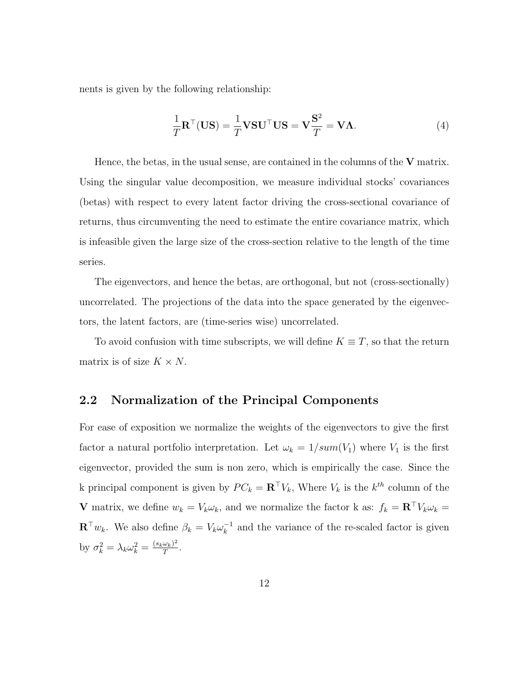nents is given by the following relationship:

$$
\frac{1}{T}\mathbf{R}^{\top}(\mathbf{U}\mathbf{S}) = \frac{1}{T}\mathbf{V}\mathbf{S}\mathbf{U}^{\top}\mathbf{U}\mathbf{S} = \mathbf{V}\frac{\mathbf{S}^2}{T} = \mathbf{V}\Lambda.
$$
\n(4)

Hence, the betas, in the usual sense, are contained in the columns of the  $V$  matrix. Using the singular value decomposition, we measure individual stocks' covariances (betas) with respect to every latent factor driving the cross-sectional covariance of returns, thus circumventing the need to estimate the entire covariance matrix, which is infeasible given the large size of the cross-section relative to the length of the time series.

The eigenvectors, and hence the betas, are orthogonal, but not (cross-sectionally) uncorrelated. The projections of the data into the space generated by the eigenvectors, the latent factors, are (time-series wise) uncorrelated.

To avoid confusion with time subscripts, we will define  $K \equiv T$ , so that the return matrix is of size  $K \times N$ .

### 2.2 Normalization of the Principal Components

For ease of exposition we normalize the weights of the eigenvectors to give the first factor a natural portfolio interpretation. Let  $\omega_k = 1/\text{sum}(V_1)$  where  $V_1$  is the first eigenvector, provided the sum is non zero, which is empirically the case. Since the k principal component is given by  $PC_k = \mathbf{R}^\top V_k$ , Where  $V_k$  is the  $k^{th}$  column of the **V** matrix, we define  $w_k = V_k \omega_k$ , and we normalize the factor k as:  $f_k = \mathbf{R}^\top V_k \omega_k =$  $\mathbf{R}^\top w_k$ . We also define  $\beta_k = V_k \omega_k^{-1}$  $k<sub>k</sub><sup>-1</sup>$  and the variance of the re-scaled factor is given by  $\sigma_k^2 = \lambda_k \omega_k^2 = \frac{(s_k \omega_k)^2}{T}$  $\frac{\omega_k)^2}{T}$ .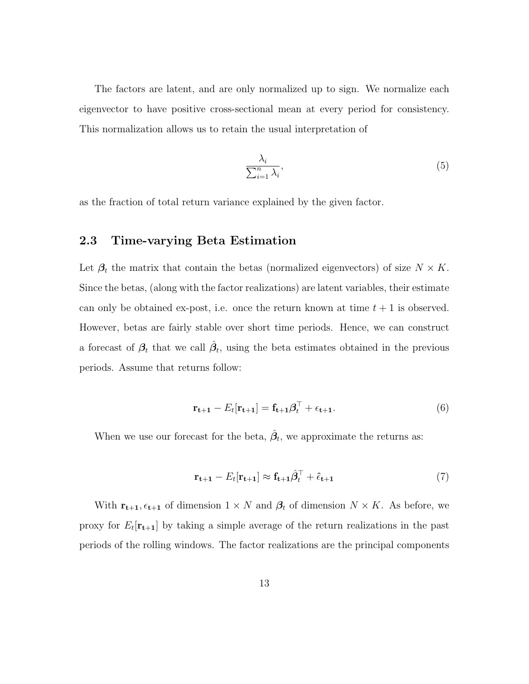The factors are latent, and are only normalized up to sign. We normalize each eigenvector to have positive cross-sectional mean at every period for consistency. This normalization allows us to retain the usual interpretation of

$$
\frac{\lambda_i}{\sum_{i=1}^n \lambda_i},\tag{5}
$$

as the fraction of total return variance explained by the given factor.

#### 2.3 Time-varying Beta Estimation

Let  $\beta_t$  the matrix that contain the betas (normalized eigenvectors) of size  $N \times K$ . Since the betas, (along with the factor realizations) are latent variables, their estimate can only be obtained ex-post, i.e. once the return known at time  $t + 1$  is observed. However, betas are fairly stable over short time periods. Hence, we can construct a forecast of  $\beta_t$  that we call  $\hat{\beta}_t$ , using the beta estimates obtained in the previous periods. Assume that returns follow:

<span id="page-12-0"></span>
$$
\mathbf{r}_{t+1} - E_t[\mathbf{r}_{t+1}] = \mathbf{f}_{t+1}\boldsymbol{\beta}_t^\top + \epsilon_{t+1}.
$$
\n(6)

When we use our forecast for the beta,  $\hat{\beta}_t$ , we approximate the returns as:

$$
\mathbf{r}_{t+1} - E_t[\mathbf{r}_{t+1}] \approx \mathbf{f}_{t+1}\hat{\beta}_t^\top + \hat{\epsilon}_{t+1} \tag{7}
$$

With  $\mathbf{r}_{t+1}, \epsilon_{t+1}$  of dimension  $1 \times N$  and  $\beta_t$  of dimension  $N \times K$ . As before, we proxy for  $E_t[\mathbf{r}_{t+1}]$  by taking a simple average of the return realizations in the past periods of the rolling windows. The factor realizations are the principal components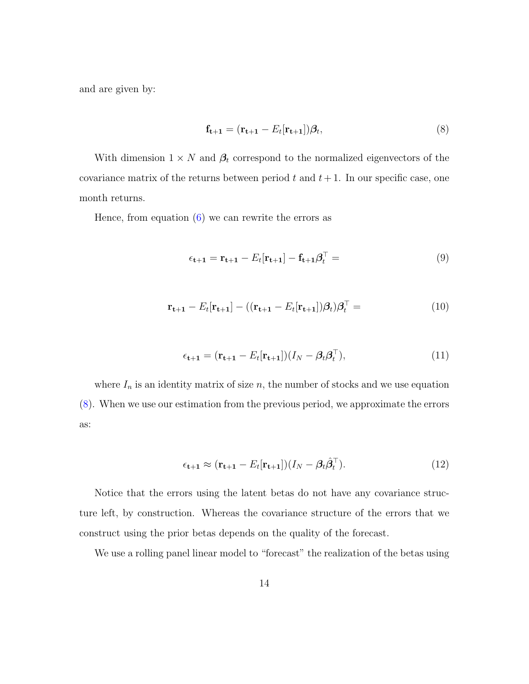and are given by:

<span id="page-13-0"></span>
$$
\mathbf{f}_{t+1} = (\mathbf{r}_{t+1} - E_t[\mathbf{r}_{t+1}])\boldsymbol{\beta}_t,\tag{8}
$$

With dimension  $1 \times N$  and  $\beta_t$  correspond to the normalized eigenvectors of the covariance matrix of the returns between period  $t$  and  $t + 1$ . In our specific case, one month returns.

Hence, from equation  $(6)$  we can rewrite the errors as

$$
\epsilon_{t+1} = \mathbf{r}_{t+1} - E_t[\mathbf{r}_{t+1}] - \mathbf{f}_{t+1}\boldsymbol{\beta}_t^\top = \tag{9}
$$

$$
\mathbf{r}_{t+1} - E_t[\mathbf{r}_{t+1}] - ((\mathbf{r}_{t+1} - E_t[\mathbf{r}_{t+1}])\boldsymbol{\beta}_t)\boldsymbol{\beta}_t^\top = (10)
$$

$$
\epsilon_{t+1} = (\mathbf{r}_{t+1} - E_t[\mathbf{r}_{t+1}])(I_N - \beta_t \beta_t^\top), \tag{11}
$$

where  $I_n$  is an identity matrix of size n, the number of stocks and we use equation [\(8\)](#page-13-0). When we use our estimation from the previous period, we approximate the errors as:

$$
\epsilon_{t+1} \approx (\mathbf{r}_{t+1} - E_t[\mathbf{r}_{t+1}]) (I_N - \beta_t \hat{\beta}_t^\top). \tag{12}
$$

Notice that the errors using the latent betas do not have any covariance structure left, by construction. Whereas the covariance structure of the errors that we construct using the prior betas depends on the quality of the forecast.

We use a rolling panel linear model to "forecast" the realization of the betas using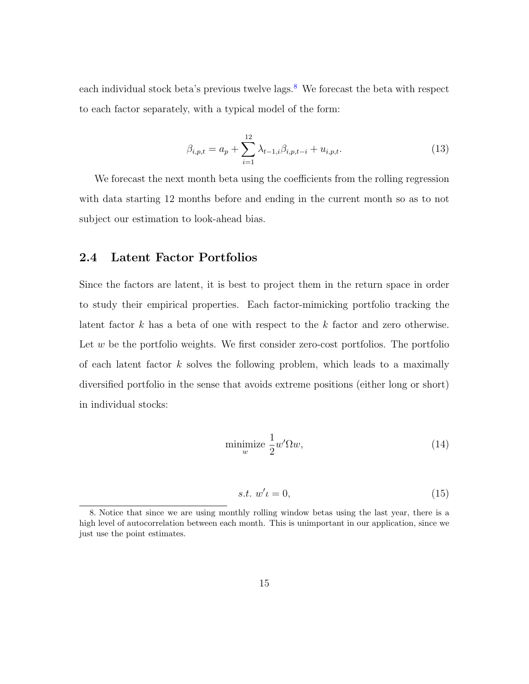each individual stock beta's previous twelve lags. $8$  We forecast the beta with respect to each factor separately, with a typical model of the form:

$$
\beta_{i,p,t} = a_p + \sum_{i=1}^{12} \lambda_{t-1,i} \beta_{i,p,t-i} + u_{i,p,t}.
$$
\n(13)

We forecast the next month beta using the coefficients from the rolling regression with data starting 12 months before and ending in the current month so as to not subject our estimation to look-ahead bias.

#### <span id="page-14-1"></span>2.4 Latent Factor Portfolios

Since the factors are latent, it is best to project them in the return space in order to study their empirical properties. Each factor-mimicking portfolio tracking the latent factor  $k$  has a beta of one with respect to the  $k$  factor and zero otherwise. Let  $w$  be the portfolio weights. We first consider zero-cost portfolios. The portfolio of each latent factor  $k$  solves the following problem, which leads to a maximally diversified portfolio in the sense that avoids extreme positions (either long or short) in individual stocks:

$$
\underset{w}{\text{minimize}} \frac{1}{2} w' \Omega w,\tag{14}
$$

$$
s.t. w't = 0,\t(15)
$$

<span id="page-14-0"></span><sup>8.</sup> Notice that since we are using monthly rolling window betas using the last year, there is a high level of autocorrelation between each month. This is unimportant in our application, since we just use the point estimates.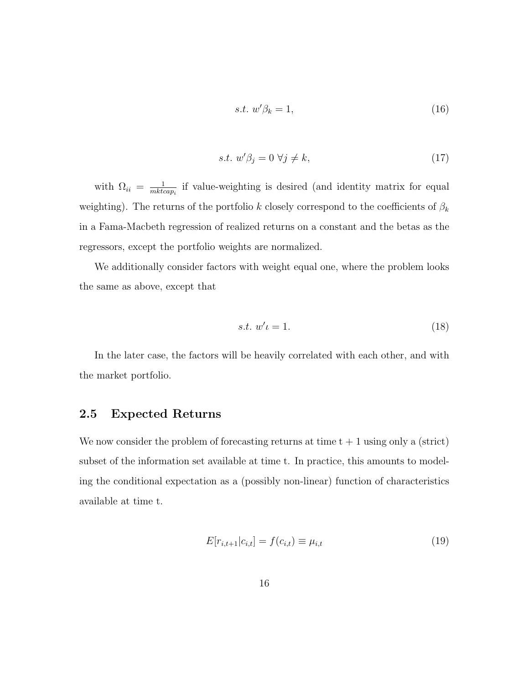$$
s.t. w'\beta_k = 1,\t\t(16)
$$

$$
s.t. w'\beta_j = 0 \,\forall j \neq k,\tag{17}
$$

with  $\Omega_{ii} = \frac{1}{mktc}$  $\frac{1}{mkcap_i}$  if value-weighting is desired (and identity matrix for equal weighting). The returns of the portfolio  $k$  closely correspond to the coefficients of  $\beta_k$ in a Fama-Macbeth regression of realized returns on a constant and the betas as the regressors, except the portfolio weights are normalized.

We additionally consider factors with weight equal one, where the problem looks the same as above, except that

$$
s.t. w' \iota = 1. \tag{18}
$$

In the later case, the factors will be heavily correlated with each other, and with the market portfolio.

#### 2.5 Expected Returns

We now consider the problem of forecasting returns at time  $t + 1$  using only a (strict) subset of the information set available at time t. In practice, this amounts to modeling the conditional expectation as a (possibly non-linear) function of characteristics available at time t.

$$
E[r_{i,t+1}|c_{i,t}] = f(c_{i,t}) \equiv \mu_{i,t}
$$
\n(19)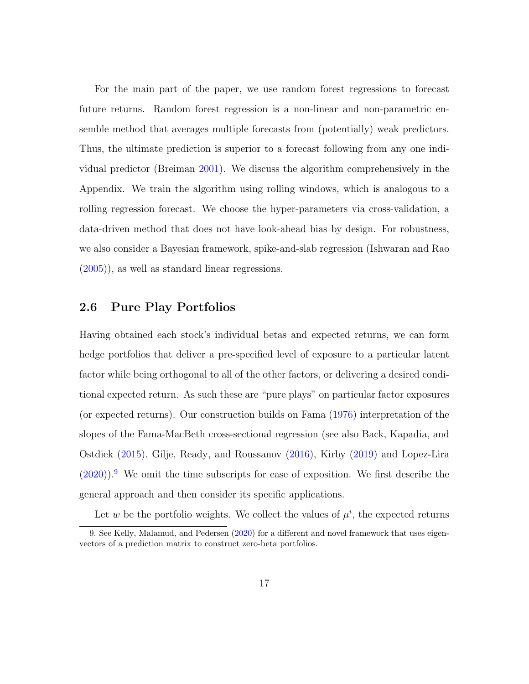For the main part of the paper, we use random forest regressions to forecast future returns. Random forest regression is a non-linear and non-parametric ensemble method that averages multiple forecasts from (potentially) weak predictors. Thus, the ultimate prediction is superior to a forecast following from any one individual predictor (Breiman [2001\)](#page-34-4). We discuss the algorithm comprehensively in the Appendix. We train the algorithm using rolling windows, which is analogous to a rolling regression forecast. We choose the hyper-parameters via cross-validation, a data-driven method that does not have look-ahead bias by design. For robustness, we also consider a Bayesian framework, spike-and-slab regression (Ishwaran and Rao [\(2005\)](#page-38-4)), as well as standard linear regressions.

#### 2.6 Pure Play Portfolios

Having obtained each stock's individual betas and expected returns, we can form hedge portfolios that deliver a pre-specified level of exposure to a particular latent factor while being orthogonal to all of the other factors, or delivering a desired conditional expected return. As such these are "pure plays" on particular factor exposures (or expected returns). Our construction builds on Fama [\(1976\)](#page-36-1) interpretation of the slopes of the Fama-MacBeth cross-sectional regression (see also Back, Kapadia, and Ostdiek [\(2015\)](#page-33-3), Gilje, Ready, and Roussanov [\(2016\)](#page-37-5), Kirby [\(2019\)](#page-39-1) and Lopez-Lira  $(2020)$ .<sup>[9](#page-16-0)</sup> We omit the time subscripts for ease of exposition. We first describe the general approach and then consider its specific applications.

<span id="page-16-0"></span>Let w be the portfolio weights. We collect the values of  $\mu^{i}$ , the expected returns

<sup>9.</sup> See Kelly, Malamud, and Pedersen [\(2020\)](#page-39-4) for a different and novel framework that uses eigenvectors of a prediction matrix to construct zero-beta portfolios.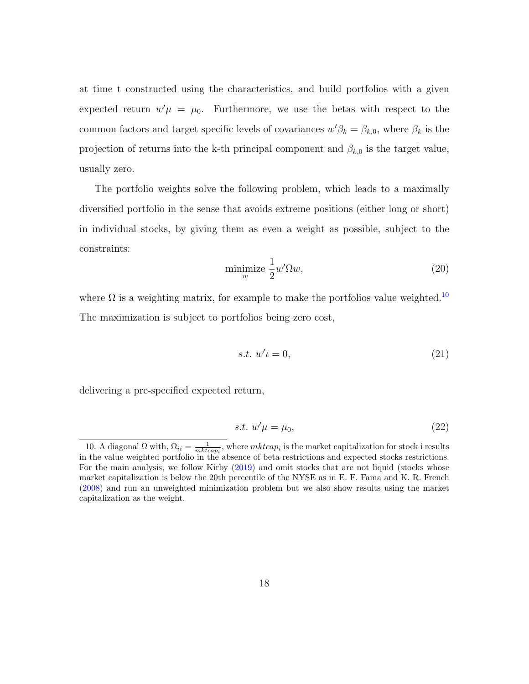at time t constructed using the characteristics, and build portfolios with a given expected return  $w'\mu = \mu_0$ . Furthermore, we use the betas with respect to the common factors and target specific levels of covariances  $w'\beta_k = \beta_{k,0}$ , where  $\beta_k$  is the projection of returns into the k-th principal component and  $\beta_{k,0}$  is the target value, usually zero.

The portfolio weights solve the following problem, which leads to a maximally diversified portfolio in the sense that avoids extreme positions (either long or short) in individual stocks, by giving them as even a weight as possible, subject to the constraints:

$$
\underset{w}{\text{minimize}} \frac{1}{2} w' \Omega w,\tag{20}
$$

where  $\Omega$  is a weighting matrix, for example to make the portfolios value weighted.<sup>[10](#page-17-0)</sup> The maximization is subject to portfolios being zero cost,

$$
s.t. w' \iota = 0,\tag{21}
$$

delivering a pre-specified expected return,

$$
s.t. w'\mu = \mu_0,\tag{22}
$$

<span id="page-17-0"></span><sup>10.</sup> A diagonal  $\Omega$  with,  $\Omega_{ii} = \frac{1}{mkcap_i}$ , where  $mkto_i$  is the market capitalization for stock i results in the value weighted portfolio in the absence of beta restrictions and expected stocks restrictions. For the main analysis, we follow Kirby [\(2019\)](#page-39-1) and omit stocks that are not liquid (stocks whose market capitalization is below the 20th percentile of the NYSE as in E. F. Fama and K. R. French [\(2008\)](#page-36-4) and run an unweighted minimization problem but we also show results using the market capitalization as the weight.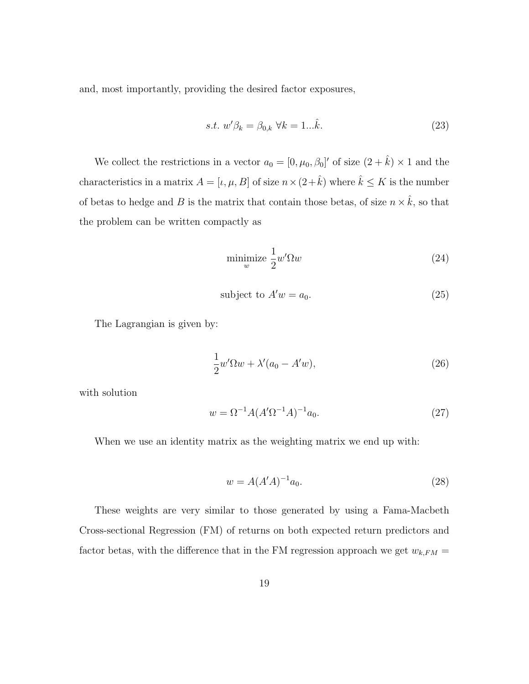and, most importantly, providing the desired factor exposures,

<span id="page-18-0"></span>
$$
s.t. w'\beta_k = \beta_{0,k} \,\forall k = 1...\hat{k}.\tag{23}
$$

We collect the restrictions in a vector  $a_0 = [0, \mu_0, \beta_0]'$  of size  $(2 + \hat{k}) \times 1$  and the characteristics in a matrix  $A = [\iota, \mu, B]$  of size  $n \times (2 + \hat{k})$  where  $\hat{k} \leq K$  is the number of betas to hedge and B is the matrix that contain those betas, of size  $n \times \hat{k}$ , so that the problem can be written compactly as

$$
\underset{w}{\text{minimize}} \frac{1}{2} w' \Omega w \tag{24}
$$

$$
subject to A'w = a_0. \t\t(25)
$$

The Lagrangian is given by:

$$
\frac{1}{2}w'\Omega w + \lambda'(a_0 - A'w),\tag{26}
$$

with solution

$$
w = \Omega^{-1} A (A' \Omega^{-1} A)^{-1} a_0.
$$
 (27)

When we use an identity matrix as the weighting matrix we end up with:

$$
w = A(A'A)^{-1}a_0.
$$
 (28)

These weights are very similar to those generated by using a Fama-Macbeth Cross-sectional Regression (FM) of returns on both expected return predictors and factor betas, with the difference that in the FM regression approach we get  $w_{k,FM} =$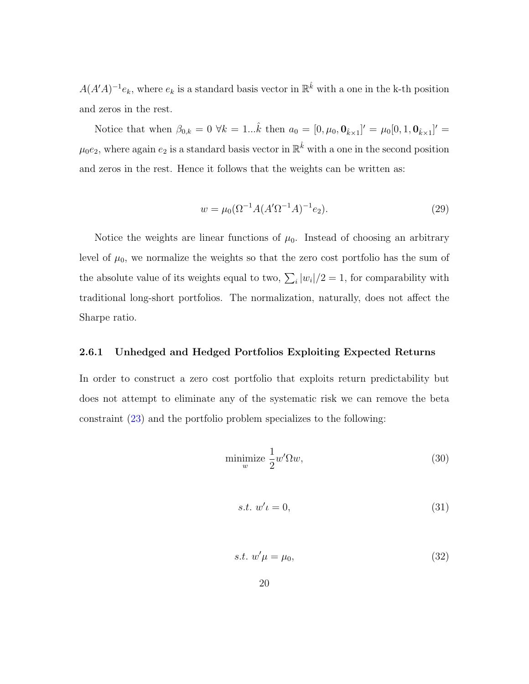$A(A'A)^{-1}e_k$ , where  $e_k$  is a standard basis vector in  $\mathbb{R}^{\hat{k}}$  with a one in the k-th position and zeros in the rest.

Notice that when  $\beta_{0,k} = 0 \ \forall k = 1...\hat{k}$  then  $a_0 = [0, \mu_0, \mathbf{0}_{\hat{k} \times 1}]' = \mu_0[0, 1, \mathbf{0}_{\hat{k} \times 1}]'$  $\mu_0 e_2$ , where again  $e_2$  is a standard basis vector in  $\mathbb{R}^{\hat{k}}$  with a one in the second position and zeros in the rest. Hence it follows that the weights can be written as:

$$
w = \mu_0(\Omega^{-1}A(A'\Omega^{-1}A)^{-1}e_2).
$$
\n(29)

Notice the weights are linear functions of  $\mu_0$ . Instead of choosing an arbitrary level of  $\mu_0$ , we normalize the weights so that the zero cost portfolio has the sum of the absolute value of its weights equal to two,  $\sum_i |w_i|/2 = 1$ , for comparability with traditional long-short portfolios. The normalization, naturally, does not affect the Sharpe ratio.

#### <span id="page-19-0"></span>2.6.1 Unhedged and Hedged Portfolios Exploiting Expected Returns

In order to construct a zero cost portfolio that exploits return predictability but does not attempt to eliminate any of the systematic risk we can remove the beta constraint [\(23\)](#page-18-0) and the portfolio problem specializes to the following:

$$
\underset{w}{\text{minimize}} \frac{1}{2} w' \Omega w,\tag{30}
$$

$$
s.t. w't = 0,\t\t(31)
$$

$$
s.t. w'\mu = \mu_0,\tag{32}
$$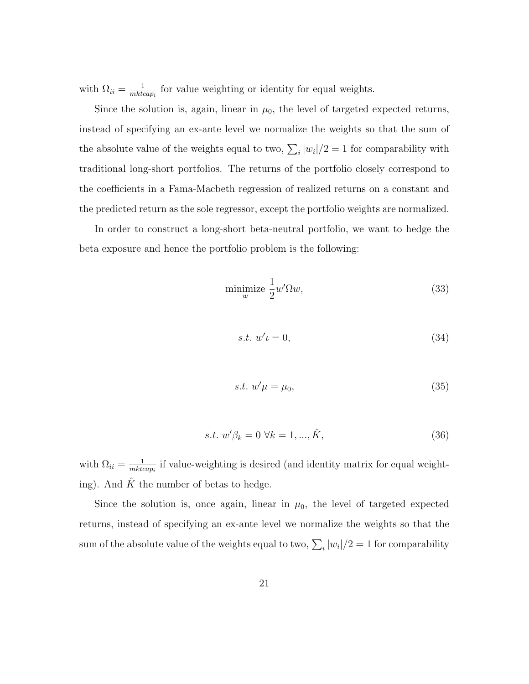with  $\Omega_{ii} = \frac{1}{mktc}$  $\frac{1}{mkcap_i}$  for value weighting or identity for equal weights.

Since the solution is, again, linear in  $\mu_0$ , the level of targeted expected returns, instead of specifying an ex-ante level we normalize the weights so that the sum of the absolute value of the weights equal to two,  $\sum_i |w_i|/2 = 1$  for comparability with traditional long-short portfolios. The returns of the portfolio closely correspond to the coefficients in a Fama-Macbeth regression of realized returns on a constant and the predicted return as the sole regressor, except the portfolio weights are normalized.

In order to construct a long-short beta-neutral portfolio, we want to hedge the beta exposure and hence the portfolio problem is the following:

$$
\underset{w}{\text{minimize}} \frac{1}{2} w' \Omega w,\tag{33}
$$

$$
s.t. w' \iota = 0,\t\t(34)
$$

$$
s.t. w'\mu = \mu_0,\tag{35}
$$

$$
s.t. \ w'\beta_k = 0 \ \forall k = 1, ..., \hat{K}, \tag{36}
$$

with  $\Omega_{ii} = \frac{1}{mktc}$  $\frac{1}{mkcap_i}$  if value-weighting is desired (and identity matrix for equal weighting). And  $\hat{K}$  the number of betas to hedge.

Since the solution is, once again, linear in  $\mu_0$ , the level of targeted expected returns, instead of specifying an ex-ante level we normalize the weights so that the sum of the absolute value of the weights equal to two,  $\sum_i |w_i|/2 = 1$  for comparability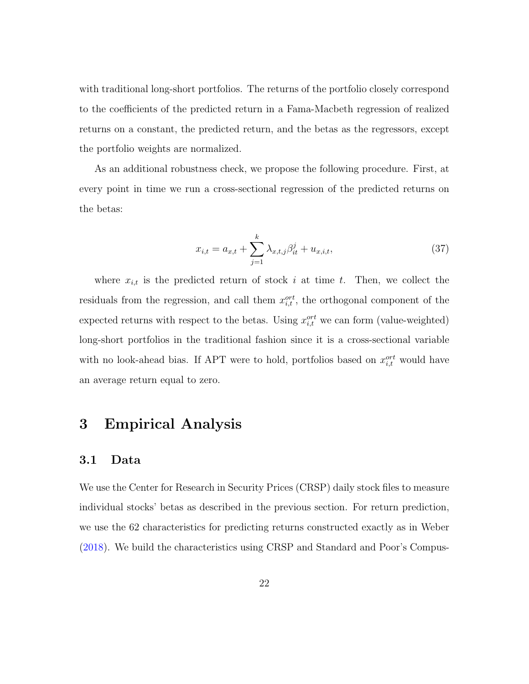with traditional long-short portfolios. The returns of the portfolio closely correspond to the coefficients of the predicted return in a Fama-Macbeth regression of realized returns on a constant, the predicted return, and the betas as the regressors, except the portfolio weights are normalized.

As an additional robustness check, we propose the following procedure. First, at every point in time we run a cross-sectional regression of the predicted returns on the betas:

$$
x_{i,t} = a_{x,t} + \sum_{j=1}^{k} \lambda_{x,t,j} \beta_{it}^j + u_{x,i,t},
$$
\n(37)

where  $x_{i,t}$  is the predicted return of stock i at time t. Then, we collect the residuals from the regression, and call them  $x_{i,t}^{ort}$ , the orthogonal component of the expected returns with respect to the betas. Using  $x_{i,t}^{ort}$  we can form (value-weighted) long-short portfolios in the traditional fashion since it is a cross-sectional variable with no look-ahead bias. If APT were to hold, portfolios based on  $x_{i,t}^{ort}$  would have an average return equal to zero.

## 3 Empirical Analysis

#### 3.1 Data

We use the Center for Research in Security Prices (CRSP) daily stock files to measure individual stocks' betas as described in the previous section. For return prediction, we use the 62 characteristics for predicting returns constructed exactly as in Weber [\(2018\)](#page-42-2). We build the characteristics using CRSP and Standard and Poor's Compus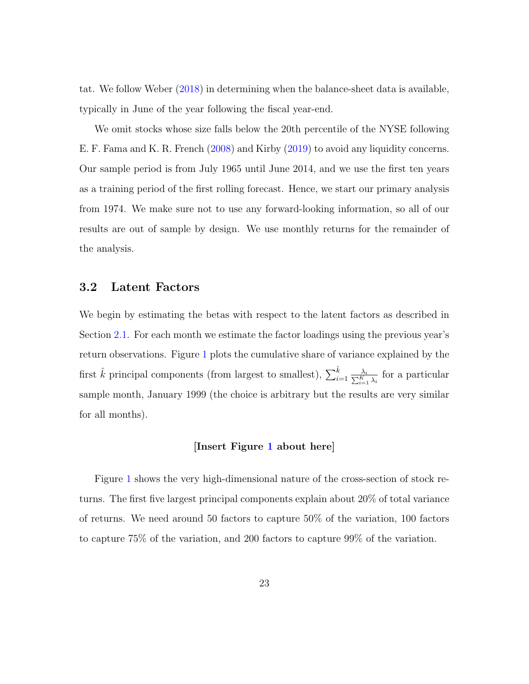tat. We follow Weber [\(2018\)](#page-42-2) in determining when the balance-sheet data is available, typically in June of the year following the fiscal year-end.

We omit stocks whose size falls below the 20th percentile of the NYSE following E. F. Fama and K. R. French [\(2008\)](#page-36-4) and Kirby [\(2019\)](#page-39-1) to avoid any liquidity concerns. Our sample period is from July 1965 until June 2014, and we use the first ten years as a training period of the first rolling forecast. Hence, we start our primary analysis from 1974. We make sure not to use any forward-looking information, so all of our results are out of sample by design. We use monthly returns for the remainder of the analysis.

#### 3.2 Latent Factors

We begin by estimating the betas with respect to the latent factors as described in Section [2.1.](#page-9-0) For each month we estimate the factor loadings using the previous year's return observations. Figure [1](#page-54-0) plots the cumulative share of variance explained by the first  $\hat{k}$  principal components (from largest to smallest),  $\sum_{i=1}^{\hat{k}} \frac{1}{\sum_{i=1}^{n}}$  $\frac{\lambda_i}{\frac{K}{k-1}\lambda_i}$  for a particular sample month, January 1999 (the choice is arbitrary but the results are very similar for all months).

#### [Insert Figure [1](#page-54-0) about here]

Figure [1](#page-54-0) shows the very high-dimensional nature of the cross-section of stock returns. The first five largest principal components explain about 20% of total variance of returns. We need around 50 factors to capture 50% of the variation, 100 factors to capture 75% of the variation, and 200 factors to capture 99% of the variation.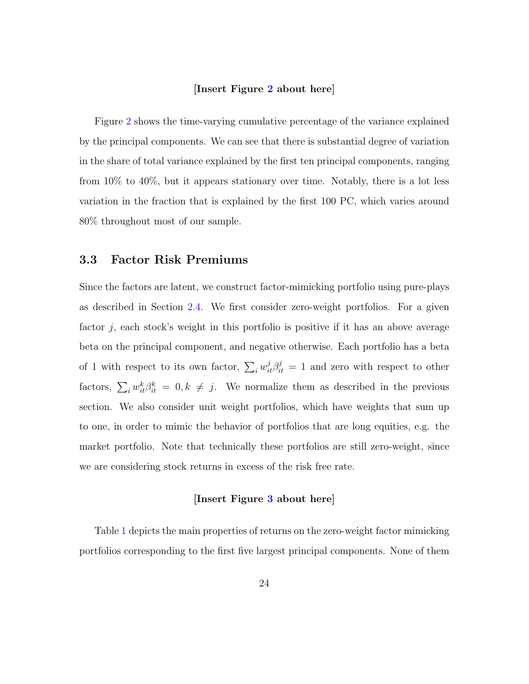#### [Insert Figure [2](#page-55-0) about here]

Figure [2](#page-55-0) shows the time-varying cumulative percentage of the variance explained by the principal components. We can see that there is substantial degree of variation in the share of total variance explained by the first ten principal components, ranging from 10% to 40%, but it appears stationary over time. Notably, there is a lot less variation in the fraction that is explained by the first 100 PC, which varies around 80% throughout most of our sample.

#### 3.3 Factor Risk Premiums

Since the factors are latent, we construct factor-mimicking portfolio using pure-plays as described in Section [2.4.](#page-14-1) We first consider zero-weight portfolios. For a given factor  $j$ , each stock's weight in this portfolio is positive if it has an above average beta on the principal component, and negative otherwise. Each portfolio has a beta of 1 with respect to its own factor,  $\sum_i w_{it}^j \beta_{it}^j = 1$  and zero with respect to other factors,  $\sum_i w_{it}^k \beta_{it}^k = 0, k \neq j$ . We normalize them as described in the previous section. We also consider unit weight portfolios, which have weights that sum up to one, in order to mimic the behavior of portfolios that are long equities, e.g. the market portfolio. Note that technically these portfolios are still zero-weight, since we are considering stock returns in excess of the risk free rate.

#### [Insert Figure [3](#page-56-0) about here]

Table [1](#page-43-0) depicts the main properties of returns on the zero-weight factor mimicking portfolios corresponding to the first five largest principal components. None of them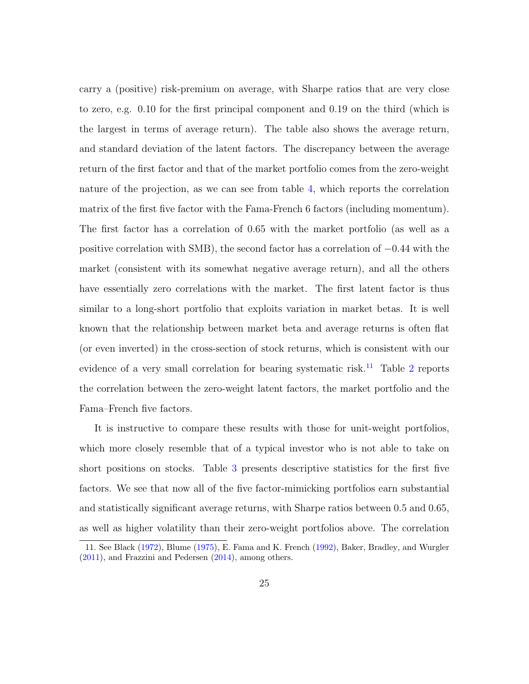carry a (positive) risk-premium on average, with Sharpe ratios that are very close to zero, e.g. 0.10 for the first principal component and 0.19 on the third (which is the largest in terms of average return). The table also shows the average return, and standard deviation of the latent factors. The discrepancy between the average return of the first factor and that of the market portfolio comes from the zero-weight nature of the projection, as we can see from table [4,](#page-46-0) which reports the correlation matrix of the first five factor with the Fama-French 6 factors (including momentum). The first factor has a correlation of 0.65 with the market portfolio (as well as a positive correlation with SMB), the second factor has a correlation of −0.44 with the market (consistent with its somewhat negative average return), and all the others have essentially zero correlations with the market. The first latent factor is thus similar to a long-short portfolio that exploits variation in market betas. It is well known that the relationship between market beta and average returns is often flat (or even inverted) in the cross-section of stock returns, which is consistent with our evidence of a very small correlation for bearing systematic risk.<sup>[11](#page-24-0)</sup> Table [2](#page-44-0) reports the correlation between the zero-weight latent factors, the market portfolio and the Fama–French five factors.

It is instructive to compare these results with those for unit-weight portfolios, which more closely resemble that of a typical investor who is not able to take on short positions on stocks. Table [3](#page-45-0) presents descriptive statistics for the first five factors. We see that now all of the five factor-mimicking portfolios earn substantial and statistically significant average returns, with Sharpe ratios between 0.5 and 0.65, as well as higher volatility than their zero-weight portfolios above. The correlation

<span id="page-24-0"></span><sup>11.</sup> See Black [\(1972\)](#page-34-5), Blume [\(1975\)](#page-34-6), E. Fama and K. French [\(1992\)](#page-36-5), Baker, Bradley, and Wurgler [\(2011\)](#page-33-4), and Frazzini and Pedersen [\(2014\)](#page-37-6), among others.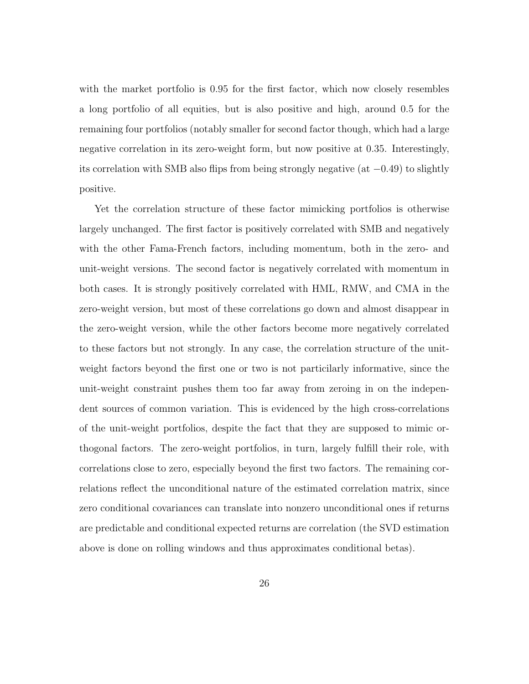with the market portfolio is 0.95 for the first factor, which now closely resembles a long portfolio of all equities, but is also positive and high, around 0.5 for the remaining four portfolios (notably smaller for second factor though, which had a large negative correlation in its zero-weight form, but now positive at 0.35. Interestingly, its correlation with SMB also flips from being strongly negative (at −0.49) to slightly positive.

Yet the correlation structure of these factor mimicking portfolios is otherwise largely unchanged. The first factor is positively correlated with SMB and negatively with the other Fama-French factors, including momentum, both in the zero- and unit-weight versions. The second factor is negatively correlated with momentum in both cases. It is strongly positively correlated with HML, RMW, and CMA in the zero-weight version, but most of these correlations go down and almost disappear in the zero-weight version, while the other factors become more negatively correlated to these factors but not strongly. In any case, the correlation structure of the unitweight factors beyond the first one or two is not particilarly informative, since the unit-weight constraint pushes them too far away from zeroing in on the independent sources of common variation. This is evidenced by the high cross-correlations of the unit-weight portfolios, despite the fact that they are supposed to mimic orthogonal factors. The zero-weight portfolios, in turn, largely fulfill their role, with correlations close to zero, especially beyond the first two factors. The remaining correlations reflect the unconditional nature of the estimated correlation matrix, since zero conditional covariances can translate into nonzero unconditional ones if returns are predictable and conditional expected returns are correlation (the SVD estimation above is done on rolling windows and thus approximates conditional betas).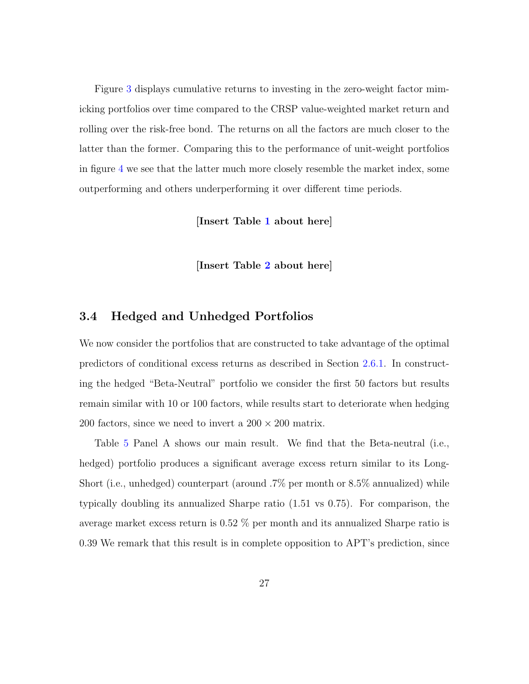Figure [3](#page-56-0) displays cumulative returns to investing in the zero-weight factor mimicking portfolios over time compared to the CRSP value-weighted market return and rolling over the risk-free bond. The returns on all the factors are much closer to the latter than the former. Comparing this to the performance of unit-weight portfolios in figure [4](#page-57-0) we see that the latter much more closely resemble the market index, some outperforming and others underperforming it over different time periods.

[Insert Table [1](#page-43-0) about here]

[Insert Table [2](#page-44-0) about here]

#### 3.4 Hedged and Unhedged Portfolios

We now consider the portfolios that are constructed to take advantage of the optimal predictors of conditional excess returns as described in Section [2.6.1.](#page-19-0) In constructing the hedged "Beta-Neutral" portfolio we consider the first 50 factors but results remain similar with 10 or 100 factors, while results start to deteriorate when hedging 200 factors, since we need to invert a  $200 \times 200$  matrix.

Table [5](#page-47-0) Panel A shows our main result. We find that the Beta-neutral (i.e., hedged) portfolio produces a significant average excess return similar to its Long-Short (i.e., unhedged) counterpart (around .7% per month or 8.5% annualized) while typically doubling its annualized Sharpe ratio (1.51 vs 0.75). For comparison, the average market excess return is 0.52 % per month and its annualized Sharpe ratio is 0.39 We remark that this result is in complete opposition to APT's prediction, since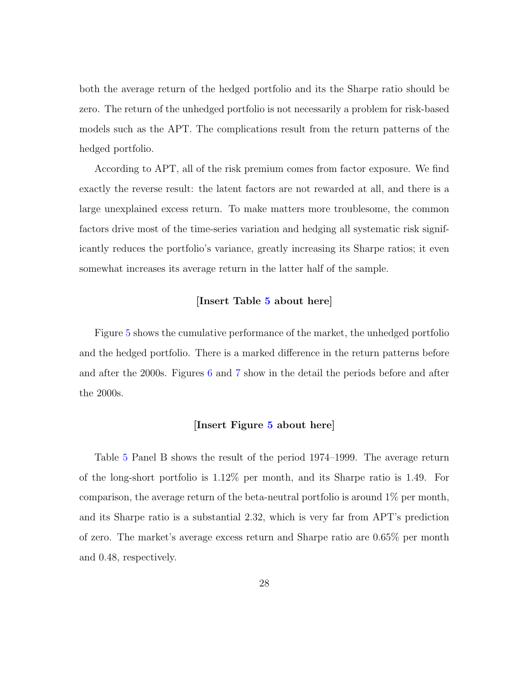both the average return of the hedged portfolio and its the Sharpe ratio should be zero. The return of the unhedged portfolio is not necessarily a problem for risk-based models such as the APT. The complications result from the return patterns of the hedged portfolio.

According to APT, all of the risk premium comes from factor exposure. We find exactly the reverse result: the latent factors are not rewarded at all, and there is a large unexplained excess return. To make matters more troublesome, the common factors drive most of the time-series variation and hedging all systematic risk significantly reduces the portfolio's variance, greatly increasing its Sharpe ratios; it even somewhat increases its average return in the latter half of the sample.

#### [Insert Table [5](#page-47-0) about here]

Figure [5](#page-58-0) shows the cumulative performance of the market, the unhedged portfolio and the hedged portfolio. There is a marked difference in the return patterns before and after the 2000s. Figures [6](#page-59-0) and [7](#page-60-0) show in the detail the periods before and after the 2000s.

#### [Insert Figure [5](#page-58-0) about here]

Table [5](#page-47-0) Panel B shows the result of the period 1974–1999. The average return of the long-short portfolio is 1.12% per month, and its Sharpe ratio is 1.49. For comparison, the average return of the beta-neutral portfolio is around 1% per month, and its Sharpe ratio is a substantial 2.32, which is very far from APT's prediction of zero. The market's average excess return and Sharpe ratio are 0.65% per month and 0.48, respectively.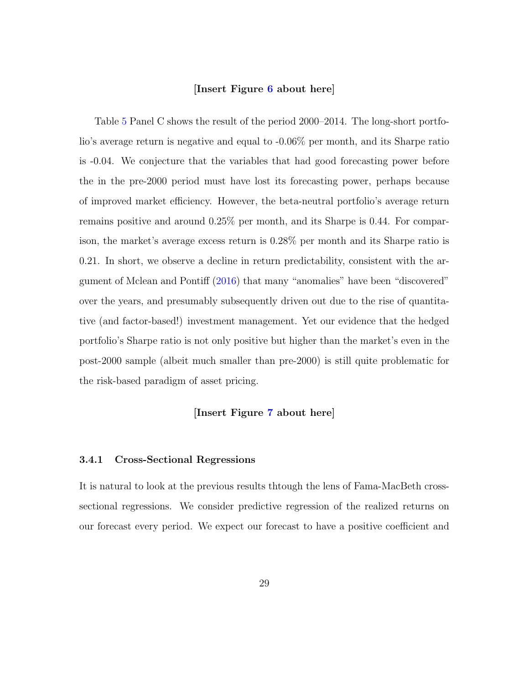#### [Insert Figure [6](#page-59-0) about here]

Table [5](#page-47-0) Panel C shows the result of the period 2000–2014. The long-short portfolio's average return is negative and equal to -0.06% per month, and its Sharpe ratio is -0.04. We conjecture that the variables that had good forecasting power before the in the pre-2000 period must have lost its forecasting power, perhaps because of improved market efficiency. However, the beta-neutral portfolio's average return remains positive and around 0.25% per month, and its Sharpe is 0.44. For comparison, the market's average excess return is 0.28% per month and its Sharpe ratio is 0.21. In short, we observe a decline in return predictability, consistent with the argument of Mclean and Pontiff [\(2016\)](#page-41-5) that many "anomalies" have been "discovered" over the years, and presumably subsequently driven out due to the rise of quantitative (and factor-based!) investment management. Yet our evidence that the hedged portfolio's Sharpe ratio is not only positive but higher than the market's even in the post-2000 sample (albeit much smaller than pre-2000) is still quite problematic for the risk-based paradigm of asset pricing.

#### [Insert Figure [7](#page-60-0) about here]

#### 3.4.1 Cross-Sectional Regressions

It is natural to look at the previous results thtough the lens of Fama-MacBeth crosssectional regressions. We consider predictive regression of the realized returns on our forecast every period. We expect our forecast to have a positive coefficient and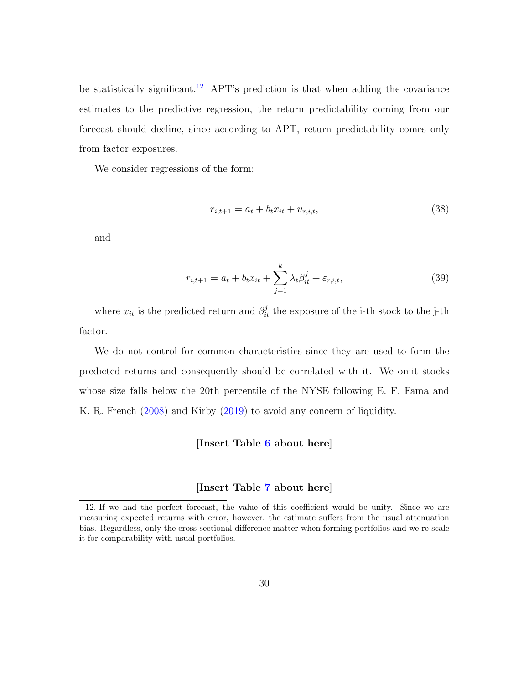be statistically significant.<sup>[12](#page-29-0)</sup> APT's prediction is that when adding the covariance estimates to the predictive regression, the return predictability coming from our forecast should decline, since according to APT, return predictability comes only from factor exposures.

We consider regressions of the form:

$$
r_{i,t+1} = a_t + b_t x_{it} + u_{r,i,t},
$$
\n(38)

and

$$
r_{i,t+1} = a_t + b_t x_{it} + \sum_{j=1}^{k} \lambda_t \beta_{it}^j + \varepsilon_{r,i,t},
$$
\n(39)

where  $x_{it}$  is the predicted return and  $\beta_{it}^j$  the exposure of the i-th stock to the j-th factor.

We do not control for common characteristics since they are used to form the predicted returns and consequently should be correlated with it. We omit stocks whose size falls below the 20th percentile of the NYSE following E. F. Fama and K. R. French [\(2008\)](#page-36-4) and Kirby [\(2019\)](#page-39-1) to avoid any concern of liquidity.

#### [Insert Table [6](#page-48-0) about here]

#### [Insert Table [7](#page-49-0) about here]

<span id="page-29-0"></span><sup>12.</sup> If we had the perfect forecast, the value of this coefficient would be unity. Since we are measuring expected returns with error, however, the estimate suffers from the usual attenuation bias. Regardless, only the cross-sectional difference matter when forming portfolios and we re-scale it for comparability with usual portfolios.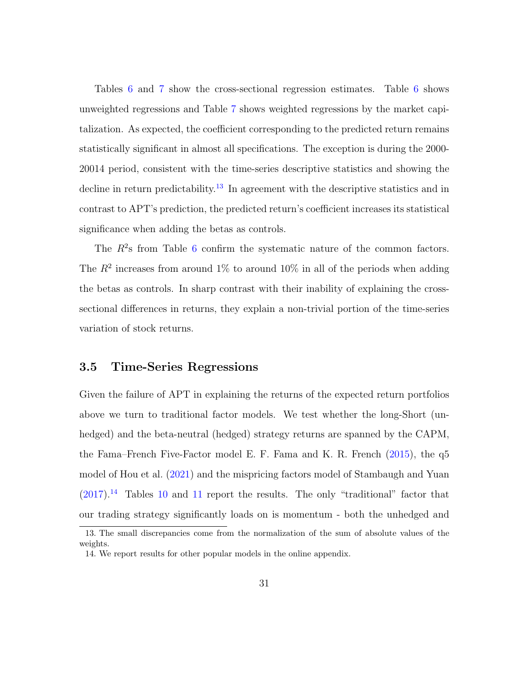Tables [6](#page-48-0) and [7](#page-49-0) show the cross-sectional regression estimates. Table [6](#page-48-0) shows unweighted regressions and Table [7](#page-49-0) shows weighted regressions by the market capitalization. As expected, the coefficient corresponding to the predicted return remains statistically significant in almost all specifications. The exception is during the 2000- 20014 period, consistent with the time-series descriptive statistics and showing the decline in return predictability.<sup>[13](#page-30-0)</sup> In agreement with the descriptive statistics and in contrast to APT's prediction, the predicted return's coefficient increases its statistical significance when adding the betas as controls.

The  $R^2$ s from Table [6](#page-48-0) confirm the systematic nature of the common factors. The  $R^2$  increases from around 1% to around 10% in all of the periods when adding the betas as controls. In sharp contrast with their inability of explaining the crosssectional differences in returns, they explain a non-trivial portion of the time-series variation of stock returns.

#### 3.5 Time-Series Regressions

Given the failure of APT in explaining the returns of the expected return portfolios above we turn to traditional factor models. We test whether the long-Short (unhedged) and the beta-neutral (hedged) strategy returns are spanned by the CAPM, the Fama–French Five-Factor model E. F. Fama and K. R. French [\(2015\)](#page-36-6), the q5 model of Hou et al. [\(2021\)](#page-38-5) and the mispricing factors model of Stambaugh and Yuan  $(2017).<sup>14</sup>$  $(2017).<sup>14</sup>$  $(2017).<sup>14</sup>$  $(2017).<sup>14</sup>$  Tables [10](#page-52-0) and [11](#page-53-0) report the results. The only "traditional" factor that our trading strategy significantly loads on is momentum - both the unhedged and

<span id="page-30-0"></span><sup>13.</sup> The small discrepancies come from the normalization of the sum of absolute values of the weights.

<span id="page-30-1"></span><sup>14.</sup> We report results for other popular models in the online appendix.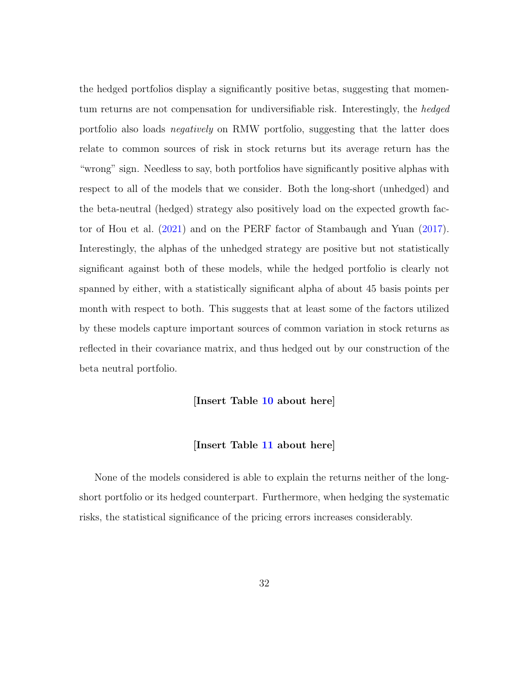the hedged portfolios display a significantly positive betas, suggesting that momentum returns are not compensation for undiversifiable risk. Interestingly, the hedged portfolio also loads negatively on RMW portfolio, suggesting that the latter does relate to common sources of risk in stock returns but its average return has the "wrong" sign. Needless to say, both portfolios have significantly positive alphas with respect to all of the models that we consider. Both the long-short (unhedged) and the beta-neutral (hedged) strategy also positively load on the expected growth factor of Hou et al. [\(2021\)](#page-38-5) and on the PERF factor of Stambaugh and Yuan [\(2017\)](#page-42-3). Interestingly, the alphas of the unhedged strategy are positive but not statistically significant against both of these models, while the hedged portfolio is clearly not spanned by either, with a statistically significant alpha of about 45 basis points per month with respect to both. This suggests that at least some of the factors utilized by these models capture important sources of common variation in stock returns as reflected in their covariance matrix, and thus hedged out by our construction of the beta neutral portfolio.

#### [Insert Table [10](#page-52-0) about here]

#### [Insert Table [11](#page-53-0) about here]

None of the models considered is able to explain the returns neither of the longshort portfolio or its hedged counterpart. Furthermore, when hedging the systematic risks, the statistical significance of the pricing errors increases considerably.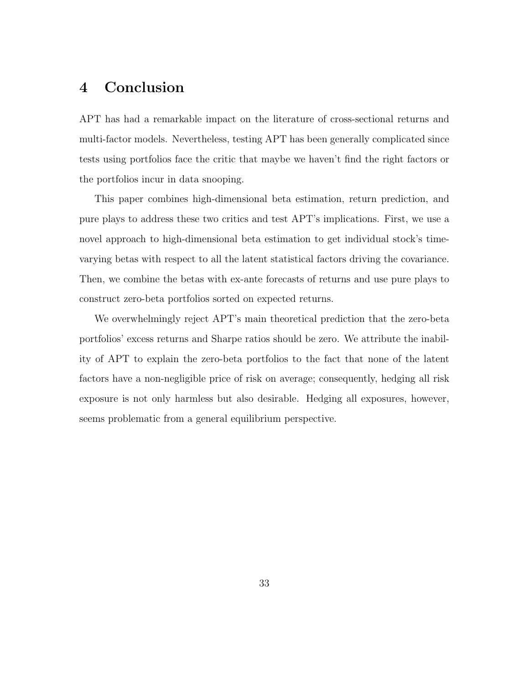# 4 Conclusion

APT has had a remarkable impact on the literature of cross-sectional returns and multi-factor models. Nevertheless, testing APT has been generally complicated since tests using portfolios face the critic that maybe we haven't find the right factors or the portfolios incur in data snooping.

This paper combines high-dimensional beta estimation, return prediction, and pure plays to address these two critics and test APT's implications. First, we use a novel approach to high-dimensional beta estimation to get individual stock's timevarying betas with respect to all the latent statistical factors driving the covariance. Then, we combine the betas with ex-ante forecasts of returns and use pure plays to construct zero-beta portfolios sorted on expected returns.

We overwhelmingly reject APT's main theoretical prediction that the zero-beta portfolios' excess returns and Sharpe ratios should be zero. We attribute the inability of APT to explain the zero-beta portfolios to the fact that none of the latent factors have a non-negligible price of risk on average; consequently, hedging all risk exposure is not only harmless but also desirable. Hedging all exposures, however, seems problematic from a general equilibrium perspective.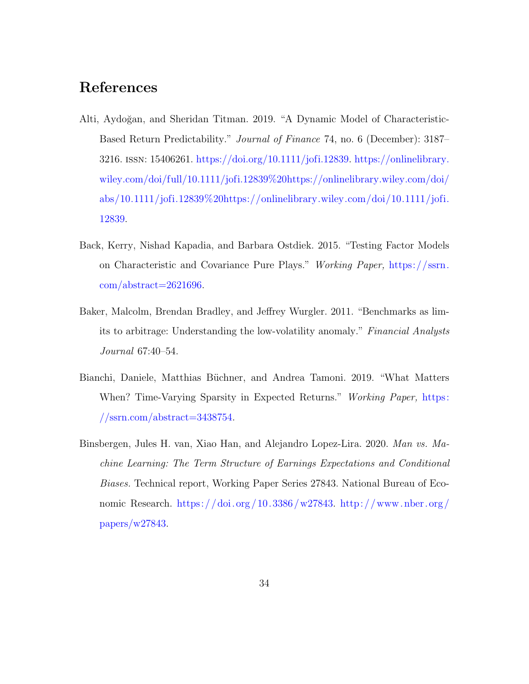# References

- <span id="page-33-0"></span>Alti, Aydoğan, and Sheridan Titman. 2019. "A Dynamic Model of Characteristic-Based Return Predictability." Journal of Finance 74, no. 6 (December): 3187– 3216. issn: 15406261. [https://doi.org/10.1111/jofi.12839.](https://doi.org/10.1111/jofi.12839) [https://onlinelibrary.](https://onlinelibrary.wiley.com/doi/full/10.1111/jofi.12839%20https://onlinelibrary.wiley.com/doi/abs/10.1111/jofi.12839%20https://onlinelibrary.wiley.com/doi/10.1111/jofi.12839) [wiley.com/doi/full/10.1111/jofi.12839%20https://onlinelibrary.wiley.com/doi/](https://onlinelibrary.wiley.com/doi/full/10.1111/jofi.12839%20https://onlinelibrary.wiley.com/doi/abs/10.1111/jofi.12839%20https://onlinelibrary.wiley.com/doi/10.1111/jofi.12839)  $a$ bs/10.1111/jofi.12839%20https://onlinelibrary.wiley.com/doi/10.1111/jofi. [12839.](https://onlinelibrary.wiley.com/doi/full/10.1111/jofi.12839%20https://onlinelibrary.wiley.com/doi/abs/10.1111/jofi.12839%20https://onlinelibrary.wiley.com/doi/10.1111/jofi.12839)
- <span id="page-33-3"></span>Back, Kerry, Nishad Kapadia, and Barbara Ostdiek. 2015. "Testing Factor Models on Characteristic and Covariance Pure Plays." Working Paper, [https://ssrn.](https://ssrn.com/abstract=2621696) [com/abstract=2621696.](https://ssrn.com/abstract=2621696)
- <span id="page-33-4"></span>Baker, Malcolm, Brendan Bradley, and Jeffrey Wurgler. 2011. "Benchmarks as limits to arbitrage: Understanding the low-volatility anomaly." Financial Analysts Journal 67:40–54.
- <span id="page-33-1"></span>Bianchi, Daniele, Matthias Büchner, and Andrea Tamoni. 2019. "What Matters When? Time-Varying Sparsity in Expected Returns." Working Paper, [https:](https://ssrn.com/abstract=3438754) [//ssrn.com/abstract=3438754.](https://ssrn.com/abstract=3438754)
- <span id="page-33-2"></span>Binsbergen, Jules H. van, Xiao Han, and Alejandro Lopez-Lira. 2020. Man vs. Machine Learning: The Term Structure of Earnings Expectations and Conditional Biases. Technical report, Working Paper Series 27843. National Bureau of Economic Research. [https:// doi.org /10.3386/w27843.](https://doi.org/10.3386/w27843) [http://www. nber.org /](http://www.nber.org/papers/w27843) [papers/w27843.](http://www.nber.org/papers/w27843)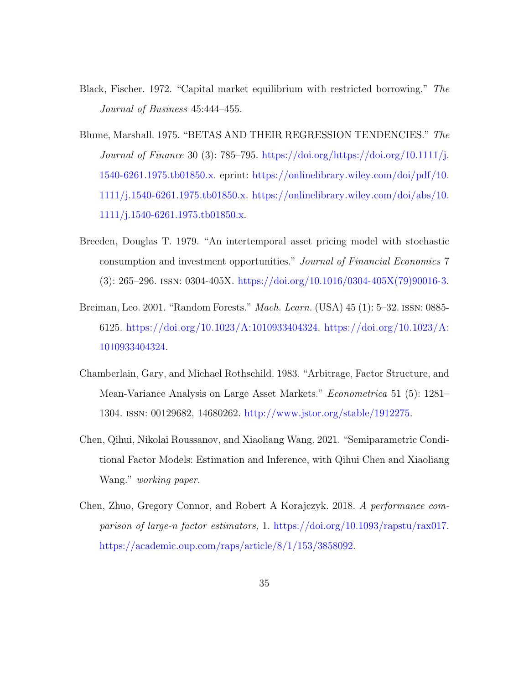- <span id="page-34-5"></span>Black, Fischer. 1972. "Capital market equilibrium with restricted borrowing." The Journal of Business 45:444-455.
- <span id="page-34-6"></span>Blume, Marshall. 1975. "BETAS AND THEIR REGRESSION TENDENCIES." The Journal of Finance 30 (3): 785–795. [https://doi.org/https://doi.org/10.1111/j.](https://doi.org/https://doi.org/10.1111/j.1540-6261.1975.tb01850.x) [1540-6261.1975.tb01850.x.](https://doi.org/https://doi.org/10.1111/j.1540-6261.1975.tb01850.x) eprint: [https://onlinelibrary.wiley.com/doi/pdf/10.](https://onlinelibrary.wiley.com/doi/pdf/10.1111/j.1540-6261.1975.tb01850.x) [1111/j.1540-6261.1975.tb01850.x.](https://onlinelibrary.wiley.com/doi/pdf/10.1111/j.1540-6261.1975.tb01850.x) [https://onlinelibrary.wiley.com/doi/abs/10.](https://onlinelibrary.wiley.com/doi/abs/10.1111/j.1540-6261.1975.tb01850.x) [1111/j.1540-6261.1975.tb01850.x.](https://onlinelibrary.wiley.com/doi/abs/10.1111/j.1540-6261.1975.tb01850.x)
- <span id="page-34-1"></span>Breeden, Douglas T. 1979. "An intertemporal asset pricing model with stochastic consumption and investment opportunities." Journal of Financial Economics 7  $(3): 265-296.$  ISSN: 0304-405X. [https://doi.org/10.1016/0304-405X\(79\)90016-3.](https://doi.org/10.1016/0304-405X(79)90016-3)
- <span id="page-34-4"></span>Breiman, Leo. 2001. "Random Forests." Mach. Learn. (USA) 45 (1): 5–32. issn: 0885- 6125. [https://doi.org/10.1023/A:1010933404324.](https://doi.org/10.1023/A:1010933404324) [https://doi.org/10.1023/A:](https://doi.org/10.1023/A:1010933404324) [1010933404324.](https://doi.org/10.1023/A:1010933404324)
- <span id="page-34-0"></span>Chamberlain, Gary, and Michael Rothschild. 1983. "Arbitrage, Factor Structure, and Mean-Variance Analysis on Large Asset Markets." Econometrica 51 (5): 1281– 1304. issn: 00129682, 14680262. [http://www.jstor.org/stable/1912275.](http://www.jstor.org/stable/1912275)
- <span id="page-34-3"></span>Chen, Qihui, Nikolai Roussanov, and Xiaoliang Wang. 2021. "Semiparametric Conditional Factor Models: Estimation and Inference, with Qihui Chen and Xiaoliang Wang." working paper.
- <span id="page-34-2"></span>Chen, Zhuo, Gregory Connor, and Robert A Korajczyk. 2018. A performance comparison of large-n factor estimators, 1. [https://doi.org/10.1093/rapstu/rax017.](https://doi.org/10.1093/rapstu/rax017) [https://academic.oup.com/raps/article/8/1/153/3858092.](https://academic.oup.com/raps/article/8/1/153/3858092)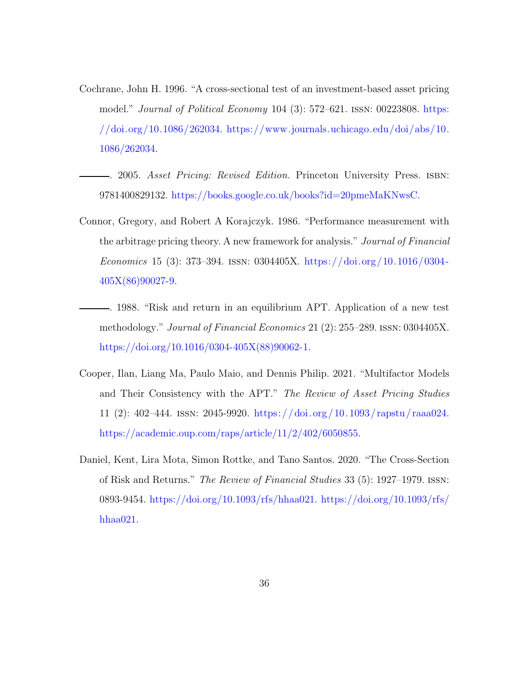- <span id="page-35-1"></span>Cochrane, John H. 1996. "A cross-sectional test of an investment-based asset pricing model." Journal of Political Economy 104 (3): 572–621. issn: 00223808. [https:](https://doi.org/10.1086/262034) [//doi.org/10.1086/262034.](https://doi.org/10.1086/262034) [https://www.journals.uchicago.edu/doi/abs/10.](https://www.journals.uchicago.edu/doi/abs/10.1086/262034) [1086/262034.](https://www.journals.uchicago.edu/doi/abs/10.1086/262034)
- <span id="page-35-0"></span>. 2005. Asset Pricing: Revised Edition. Princeton University Press. isbn: 9781400829132. [https://books.google.co.uk/books?id=20pmeMaKNwsC.](https://books.google.co.uk/books?id=20pmeMaKNwsC)
- <span id="page-35-3"></span><span id="page-35-2"></span>Connor, Gregory, and Robert A Korajczyk. 1986. "Performance measurement with the arbitrage pricing theory. A new framework for analysis." Journal of Financial Economics 15 (3): 373–394. ISSN: 0304405X. https://doi.org/10.1016/0304-[405X\(86\)90027-9.](https://doi.org/10.1016/0304-405X(86)90027-9)
	- . 1988. "Risk and return in an equilibrium APT. Application of a new test methodology." Journal of Financial Economics 21 (2): 255–289. issn: 0304405X. [https://doi.org/10.1016/0304-405X\(88\)90062-1.](https://doi.org/10.1016/0304-405X(88)90062-1)
- <span id="page-35-5"></span>Cooper, Ilan, Liang Ma, Paulo Maio, and Dennis Philip. 2021. "Multifactor Models and Their Consistency with the APT." The Review of Asset Pricing Studies 11 (2): 402–444. issn: 2045-9920. [https://doi.org/10.1093/ rapstu/ raaa024.](https://doi.org/10.1093/rapstu/raaa024) [https://academic.oup.com/raps/article/11/2/402/6050855.](https://academic.oup.com/raps/article/11/2/402/6050855)
- <span id="page-35-4"></span>Daniel, Kent, Lira Mota, Simon Rottke, and Tano Santos. 2020. "The Cross-Section of Risk and Returns." The Review of Financial Studies 33 (5): 1927–1979. issn: 0893-9454. [https://doi.org/10.1093/rfs/hhaa021.](https://doi.org/10.1093/rfs/hhaa021) [https://doi.org/10.1093/rfs/](https://doi.org/10.1093/rfs/hhaa021) [hhaa021.](https://doi.org/10.1093/rfs/hhaa021)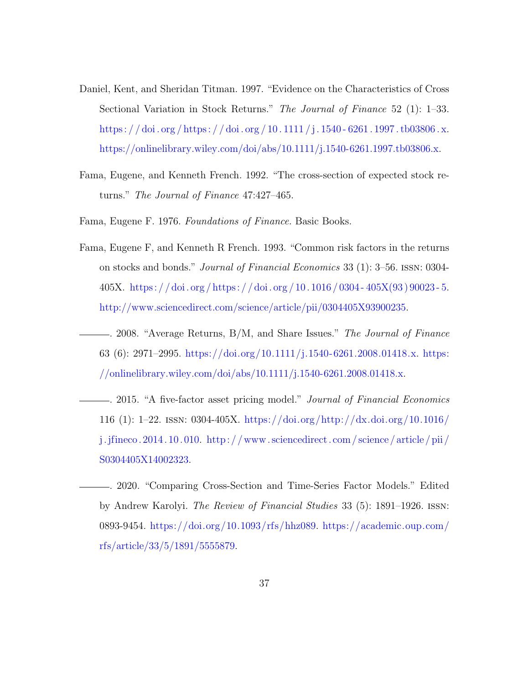- <span id="page-36-2"></span>Daniel, Kent, and Sheridan Titman. 1997. "Evidence on the Characteristics of Cross Sectional Variation in Stock Returns." The Journal of Finance 52 (1): 1–33. https : //doi.org/https : //doi.org/10.1111/j.1540-6261.1997.tb03806.x. [https://onlinelibrary.wiley.com/doi/abs/10.1111/j.1540-6261.1997.tb03806.x.](https://onlinelibrary.wiley.com/doi/abs/10.1111/j.1540-6261.1997.tb03806.x)
- <span id="page-36-5"></span>Fama, Eugene, and Kenneth French. 1992. "The cross-section of expected stock returns." The Journal of Finance 47:427–465.
- <span id="page-36-1"></span>Fama, Eugene F. 1976. Foundations of Finance. Basic Books.
- <span id="page-36-0"></span>Fama, Eugene F, and Kenneth R French. 1993. "Common risk factors in the returns on stocks and bonds." Journal of Financial Economics 33 (1): 3–56. issn: 0304- 405X. [https : / / doi . org / https : / / doi . org / 10 . 1016 / 0304 - 405X\(93 \) 90023 - 5.](https://doi.org/https://doi.org/10.1016/0304-405X(93)90023-5) [http://www.sciencedirect.com/science/article/pii/0304405X93900235.](http://www.sciencedirect.com/science/article/pii/0304405X93900235)
- <span id="page-36-4"></span>. 2008. "Average Returns, B/M, and Share Issues." The Journal of Finance 63 (6): 2971–2995. [https://doi.org/10.1111/j.1540-6261.2008.01418.x.](https://doi.org/10.1111/j.1540-6261.2008.01418.x) [https:](https://onlinelibrary.wiley.com/doi/abs/10.1111/j.1540-6261.2008.01418.x) [//onlinelibrary.wiley.com/doi/abs/10.1111/j.1540-6261.2008.01418.x.](https://onlinelibrary.wiley.com/doi/abs/10.1111/j.1540-6261.2008.01418.x)
- <span id="page-36-6"></span>. 2015. "A five-factor asset pricing model." Journal of Financial Economics 116 (1): 1–22. issn: 0304-405X. [https://doi.org/http://dx.doi.org/10.1016/](https://doi.org/http://dx.doi.org/10.1016/j.jfineco.2014.10.010) [j.jfineco. 2014. 10. 010.](https://doi.org/http://dx.doi.org/10.1016/j.jfineco.2014.10.010) [http: / / www . sciencedirect. com / science / article / pii /](http://www.sciencedirect.com/science/article/pii/S0304405X14002323) [S0304405X14002323.](http://www.sciencedirect.com/science/article/pii/S0304405X14002323)
- <span id="page-36-3"></span>. 2020. "Comparing Cross-Section and Time-Series Factor Models." Edited by Andrew Karolyi. The Review of Financial Studies 33 (5): 1891–1926. issn: 0893-9454. [https://doi.org/10.1093/rfs/hhz089.](https://doi.org/10.1093/rfs/hhz089) [https://academic.oup.com/](https://academic.oup.com/rfs/article/33/5/1891/5555879) [rfs/article/33/5/1891/5555879.](https://academic.oup.com/rfs/article/33/5/1891/5555879)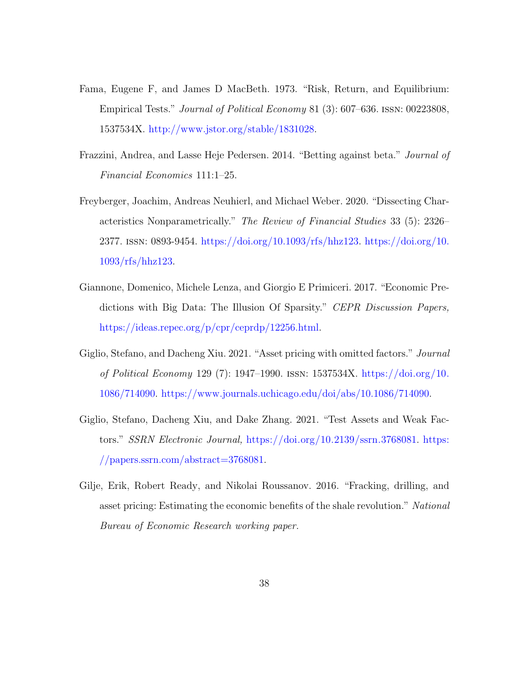- <span id="page-37-0"></span>Fama, Eugene F, and James D MacBeth. 1973. "Risk, Return, and Equilibrium: Empirical Tests." Journal of Political Economy 81 (3): 607–636. issn: 00223808, 1537534X. [http://www.jstor.org/stable/1831028.](http://www.jstor.org/stable/1831028)
- <span id="page-37-6"></span>Frazzini, Andrea, and Lasse Heje Pedersen. 2014. "Betting against beta." Journal of Financial Economics 111:1–25.
- <span id="page-37-1"></span>Freyberger, Joachim, Andreas Neuhierl, and Michael Weber. 2020. "Dissecting Characteristics Nonparametrically." The Review of Financial Studies 33 (5): 2326– 2377. issn: 0893-9454. [https://doi.org/10.1093/rfs/hhz123.](https://doi.org/10.1093/rfs/hhz123) [https://doi.org/10.](https://doi.org/10.1093/rfs/hhz123) [1093/rfs/hhz123.](https://doi.org/10.1093/rfs/hhz123)
- <span id="page-37-2"></span>Giannone, Domenico, Michele Lenza, and Giorgio E Primiceri. 2017. "Economic Predictions with Big Data: The Illusion Of Sparsity." CEPR Discussion Papers, [https://ideas.repec.org/p/cpr/ceprdp/12256.html.](https://ideas.repec.org/p/cpr/ceprdp/12256.html)
- <span id="page-37-3"></span>Giglio, Stefano, and Dacheng Xiu. 2021. "Asset pricing with omitted factors." Journal of Political Economy 129 (7): 1947–1990. issn: 1537534X. [https://doi.org/10.](https://doi.org/10.1086/714090) [1086/714090.](https://doi.org/10.1086/714090) [https://www.journals.uchicago.edu/doi/abs/10.1086/714090.](https://www.journals.uchicago.edu/doi/abs/10.1086/714090)
- <span id="page-37-4"></span>Giglio, Stefano, Dacheng Xiu, and Dake Zhang. 2021. "Test Assets and Weak Factors." SSRN Electronic Journal, [https://doi.org/10.2139/ssrn.3768081.](https://doi.org/10.2139/ssrn.3768081) [https:](https://papers.ssrn.com/abstract=3768081) [//papers.ssrn.com/abstract=3768081.](https://papers.ssrn.com/abstract=3768081)
- <span id="page-37-5"></span>Gilje, Erik, Robert Ready, and Nikolai Roussanov. 2016. "Fracking, drilling, and asset pricing: Estimating the economic benefits of the shale revolution." National Bureau of Economic Research working paper.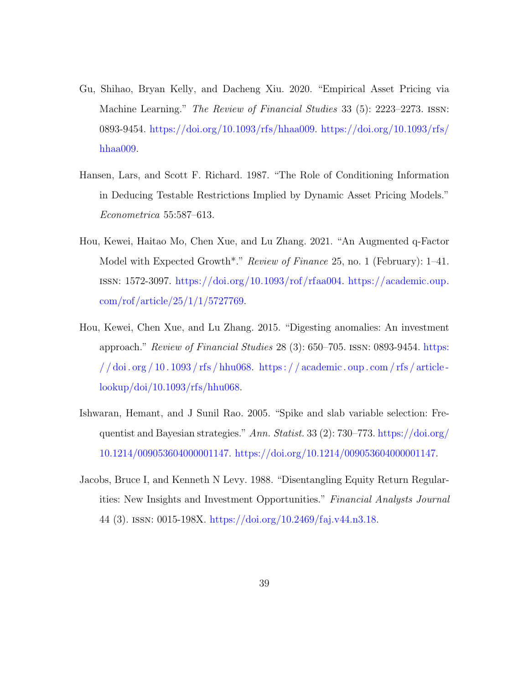- <span id="page-38-2"></span>Gu, Shihao, Bryan Kelly, and Dacheng Xiu. 2020. "Empirical Asset Pricing via Machine Learning." *The Review of Financial Studies* 33 (5): 2223–2273. ISSN: 0893-9454. [https://doi.org/10.1093/rfs/hhaa009.](https://doi.org/10.1093/rfs/hhaa009) [https://doi.org/10.1093/rfs/](https://doi.org/10.1093/rfs/hhaa009) [hhaa009.](https://doi.org/10.1093/rfs/hhaa009)
- <span id="page-38-3"></span>Hansen, Lars, and Scott F. Richard. 1987. "The Role of Conditioning Information in Deducing Testable Restrictions Implied by Dynamic Asset Pricing Models." Econometrica 55:587–613.
- <span id="page-38-5"></span>Hou, Kewei, Haitao Mo, Chen Xue, and Lu Zhang. 2021. "An Augmented q-Factor Model with Expected Growth\*." Review of Finance 25, no. 1 (February): 1–41. issn: 1572-3097. [https://doi.org/10.1093/rof/rfaa004.](https://doi.org/10.1093/rof/rfaa004) [https://academic.oup.](https://academic.oup.com/rof/article/25/1/1/5727769) [com/rof/article/25/1/1/5727769.](https://academic.oup.com/rof/article/25/1/1/5727769)
- <span id="page-38-0"></span>Hou, Kewei, Chen Xue, and Lu Zhang. 2015. "Digesting anomalies: An investment approach." Review of Financial Studies 28 (3): 650–705. issn: 0893-9454. [https:](https://doi.org/10.1093/rfs/hhu068)  $1/$  doi . org  $/$  10 . 1093  $/$  rfs  $/$  hhu068. https :  $/$  academic . oup . com  $/$  rfs  $/$  article [lookup/doi/10.1093/rfs/hhu068.](https://academic.oup.com/rfs/article-lookup/doi/10.1093/rfs/hhu068)
- <span id="page-38-4"></span>Ishwaran, Hemant, and J Sunil Rao. 2005. "Spike and slab variable selection: Frequentist and Bayesian strategies." Ann. Statist. 33 (2): 730–773. [https://doi.org/](https://doi.org/10.1214/009053604000001147) [10.1214/009053604000001147.](https://doi.org/10.1214/009053604000001147) [https://doi.org/10.1214/009053604000001147.](https://doi.org/10.1214/009053604000001147)
- <span id="page-38-1"></span>Jacobs, Bruce I, and Kenneth N Levy. 1988. "Disentangling Equity Return Regularities: New Insights and Investment Opportunities." Financial Analysts Journal 44 (3). issn: 0015-198X. [https://doi.org/10.2469/faj.v44.n3.18.](https://doi.org/10.2469/faj.v44.n3.18)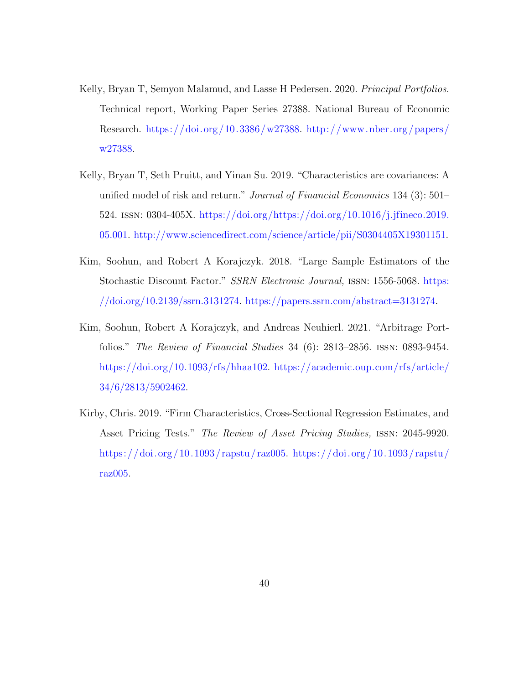- <span id="page-39-4"></span>Kelly, Bryan T, Semyon Malamud, and Lasse H Pedersen. 2020. Principal Portfolios. Technical report, Working Paper Series 27388. National Bureau of Economic Research. [https://doi.org/10.3386/w27388.](https://doi.org/10.3386/w27388) [http://www.nber.org/papers/](http://www.nber.org/papers/w27388) [w27388.](http://www.nber.org/papers/w27388)
- <span id="page-39-2"></span>Kelly, Bryan T, Seth Pruitt, and Yinan Su. 2019. "Characteristics are covariances: A unified model of risk and return." Journal of Financial Economics 134 (3): 501– 524. issn: 0304-405X. [https://doi.org/https://doi.org/10.1016/j.jfineco.2019.](https://doi.org/https://doi.org/10.1016/j.jfineco.2019.05.001) [05.001.](https://doi.org/https://doi.org/10.1016/j.jfineco.2019.05.001) [http://www.sciencedirect.com/science/article/pii/S0304405X19301151.](http://www.sciencedirect.com/science/article/pii/S0304405X19301151)
- <span id="page-39-0"></span>Kim, Soohun, and Robert A Korajczyk. 2018. "Large Sample Estimators of the Stochastic Discount Factor." SSRN Electronic Journal, issn: 1556-5068. [https:](https://doi.org/10.2139/ssrn.3131274) [//doi.org/10.2139/ssrn.3131274.](https://doi.org/10.2139/ssrn.3131274) [https://papers.ssrn.com/abstract=3131274.](https://papers.ssrn.com/abstract=3131274)
- <span id="page-39-3"></span>Kim, Soohun, Robert A Korajczyk, and Andreas Neuhierl. 2021. "Arbitrage Portfolios." The Review of Financial Studies 34 (6): 2813–2856. issn: 0893-9454. [https://doi.org/10.1093/rfs/hhaa102.](https://doi.org/10.1093/rfs/hhaa102) [https://academic.oup.com/rfs/article/](https://academic.oup.com/rfs/article/34/6/2813/5902462) [34/6/2813/5902462.](https://academic.oup.com/rfs/article/34/6/2813/5902462)
- <span id="page-39-1"></span>Kirby, Chris. 2019. "Firm Characteristics, Cross-Sectional Regression Estimates, and Asset Pricing Tests." The Review of Asset Pricing Studies, issn: 2045-9920. [https://doi.org/10.1093/ rapstu/ raz005.](https://doi.org/10.1093/rapstu/raz005) [https://doi.org/10.1093/ rapstu/](https://doi.org/10.1093/rapstu/raz005) [raz005.](https://doi.org/10.1093/rapstu/raz005)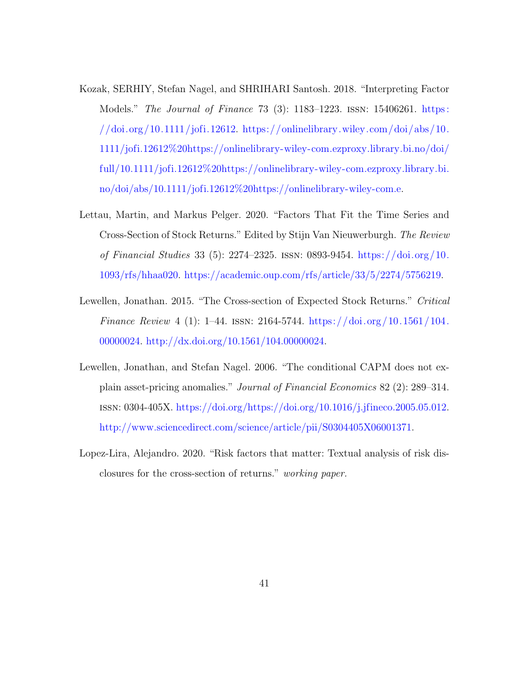- <span id="page-40-2"></span>Kozak, SERHIY, Stefan Nagel, and SHRIHARI Santosh. 2018. "Interpreting Factor Models." The Journal of Finance 73 (3): 1183–1223. issn: 15406261. [https :](https://doi.org/10.1111/jofi.12612)  $\frac{1}{\cosh(10.1111)}$  (jofi.12612. [https://onlinelibrary.wiley.com/doi/abs/10.](https://onlinelibrary.wiley.com/doi/abs/10.1111/jofi.12612%20https://onlinelibrary-wiley-com.ezproxy.library.bi.no/doi/full/10.1111/jofi.12612%20https://onlinelibrary-wiley-com.ezproxy.library.bi.no/doi/abs/10.1111/jofi.12612%20https://onlinelibrary-wiley-com.e) [1111/jofi.12612%20https://onlinelibrary-wiley-com.ezproxy.library.bi.no/doi/](https://onlinelibrary.wiley.com/doi/abs/10.1111/jofi.12612%20https://onlinelibrary-wiley-com.ezproxy.library.bi.no/doi/full/10.1111/jofi.12612%20https://onlinelibrary-wiley-com.ezproxy.library.bi.no/doi/abs/10.1111/jofi.12612%20https://onlinelibrary-wiley-com.e) [full/10.1111/jofi.12612%20https://onlinelibrary-wiley-com.ezproxy.library.bi.](https://onlinelibrary.wiley.com/doi/abs/10.1111/jofi.12612%20https://onlinelibrary-wiley-com.ezproxy.library.bi.no/doi/full/10.1111/jofi.12612%20https://onlinelibrary-wiley-com.ezproxy.library.bi.no/doi/abs/10.1111/jofi.12612%20https://onlinelibrary-wiley-com.e) [no/doi/abs/10.1111/jofi.12612%20https://onlinelibrary-wiley-com.e.](https://onlinelibrary.wiley.com/doi/abs/10.1111/jofi.12612%20https://onlinelibrary-wiley-com.ezproxy.library.bi.no/doi/full/10.1111/jofi.12612%20https://onlinelibrary-wiley-com.ezproxy.library.bi.no/doi/abs/10.1111/jofi.12612%20https://onlinelibrary-wiley-com.e)
- <span id="page-40-1"></span>Lettau, Martin, and Markus Pelger. 2020. "Factors That Fit the Time Series and Cross-Section of Stock Returns." Edited by Stijn Van Nieuwerburgh. The Review of Financial Studies 33 (5): 2274–2325. issn: 0893-9454. [https://doi.org/10.](https://doi.org/10.1093/rfs/hhaa020) [1093/rfs/hhaa020.](https://doi.org/10.1093/rfs/hhaa020) [https://academic.oup.com/rfs/article/33/5/2274/5756219.](https://academic.oup.com/rfs/article/33/5/2274/5756219)
- <span id="page-40-0"></span>Lewellen, Jonathan. 2015. "The Cross-section of Expected Stock Returns." Critical Finance Review 4 (1): 1–44. ISSN: 2164-5744. [https://doi.org/10.1561/104.](https://doi.org/10.1561/104.00000024) [00000024.](https://doi.org/10.1561/104.00000024) [http://dx.doi.org/10.1561/104.00000024.](http://dx.doi.org/10.1561/104.00000024)
- <span id="page-40-3"></span>Lewellen, Jonathan, and Stefan Nagel. 2006. "The conditional CAPM does not explain asset-pricing anomalies." Journal of Financial Economics 82 (2): 289–314. issn: 0304-405X. [https://doi.org/https://doi.org/10.1016/j.jfineco.2005.05.012.](https://doi.org/https://doi.org/10.1016/j.jfineco.2005.05.012) [http://www.sciencedirect.com/science/article/pii/S0304405X06001371.](http://www.sciencedirect.com/science/article/pii/S0304405X06001371)
- <span id="page-40-4"></span>Lopez-Lira, Alejandro. 2020. "Risk factors that matter: Textual analysis of risk disclosures for the cross-section of returns." working paper.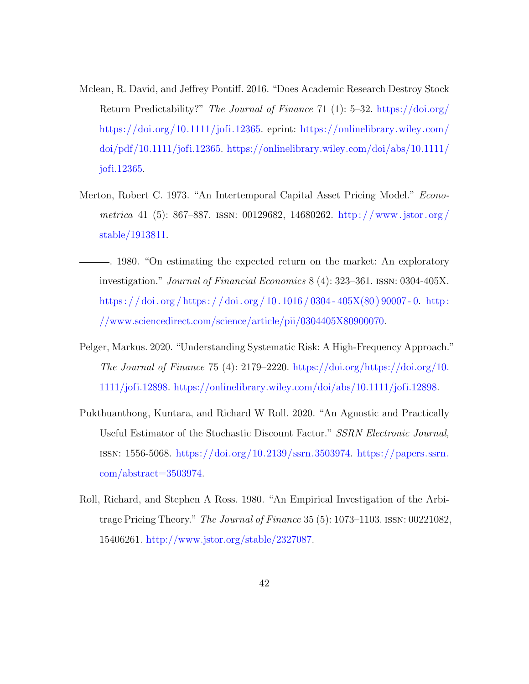- <span id="page-41-5"></span>Mclean, R. David, and Jeffrey Pontiff. 2016. "Does Academic Research Destroy Stock Return Predictability?" The Journal of Finance 71 (1): 5–32. [https://doi.org/](https://doi.org/https://doi.org/10.1111/jofi.12365) [https://doi.org/10.1111/jofi.12365.](https://doi.org/https://doi.org/10.1111/jofi.12365) eprint: [https://onlinelibrary.wiley.com/](https://onlinelibrary.wiley.com/doi/pdf/10.1111/jofi.12365) [doi/pdf/10.1111/jofi.12365.](https://onlinelibrary.wiley.com/doi/pdf/10.1111/jofi.12365) [https://onlinelibrary.wiley.com/doi/abs/10.1111/](https://onlinelibrary.wiley.com/doi/abs/10.1111/jofi.12365) [jofi.12365.](https://onlinelibrary.wiley.com/doi/abs/10.1111/jofi.12365)
- <span id="page-41-0"></span>Merton, Robert C. 1973. "An Intertemporal Capital Asset Pricing Model." Econometrica 41 (5): 867–887. issn: 00129682, 14680262. [http: / / www .jstor. org /](http://www.jstor.org/stable/1913811) [stable/1913811.](http://www.jstor.org/stable/1913811)
- <span id="page-41-4"></span>. 1980. "On estimating the expected return on the market: An exploratory investigation." Journal of Financial Economics 8 (4): 323–361. issn: 0304-405X. https : //doi.org/https : //doi.org/10.1016/0304-405X(80)90007-0. [http :](http://www.sciencedirect.com/science/article/pii/0304405X80900070) [//www.sciencedirect.com/science/article/pii/0304405X80900070.](http://www.sciencedirect.com/science/article/pii/0304405X80900070)
- <span id="page-41-2"></span>Pelger, Markus. 2020. "Understanding Systematic Risk: A High-Frequency Approach." The Journal of Finance 75 (4):  $2179-2220$ . [https://doi.org/https://doi.org/10.](https://doi.org/https://doi.org/10.1111/jofi.12898) [1111/jofi.12898.](https://doi.org/https://doi.org/10.1111/jofi.12898) [https://onlinelibrary.wiley.com/doi/abs/10.1111/jofi.12898.](https://onlinelibrary.wiley.com/doi/abs/10.1111/jofi.12898)
- <span id="page-41-3"></span>Pukthuanthong, Kuntara, and Richard W Roll. 2020. "An Agnostic and Practically Useful Estimator of the Stochastic Discount Factor." SSRN Electronic Journal, issn: 1556-5068. [https://doi.org/10.2139/ssrn.3503974.](https://doi.org/10.2139/ssrn.3503974) [https://papers.ssrn.](https://papers.ssrn.com/abstract=3503974) [com/abstract=3503974.](https://papers.ssrn.com/abstract=3503974)
- <span id="page-41-1"></span>Roll, Richard, and Stephen A Ross. 1980. "An Empirical Investigation of the Arbitrage Pricing Theory." The Journal of Finance 35 (5): 1073–1103. issn: 00221082, 15406261. [http://www.jstor.org/stable/2327087.](http://www.jstor.org/stable/2327087)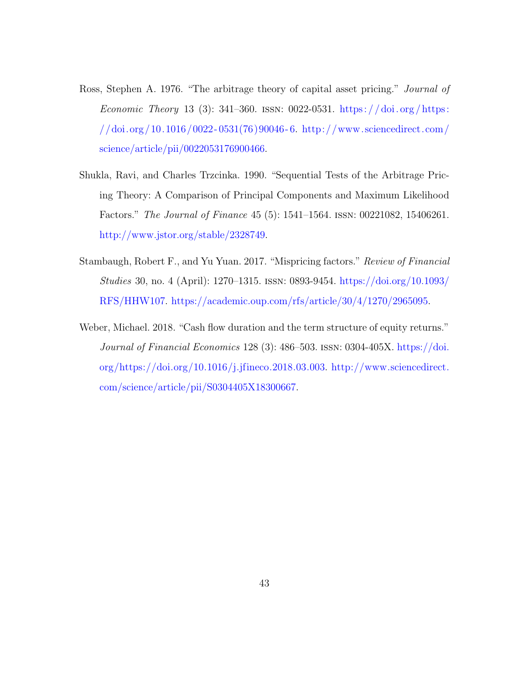- <span id="page-42-0"></span>Ross, Stephen A. 1976. "The arbitrage theory of capital asset pricing." Journal of Economic Theory 13 (3): 341–360. ISSN: 0022-0531. https://doi.org/https: [//doi.org/10.1016/0022 - 0531\(76\)90046 - 6.](https://doi.org/https://doi.org/10.1016/0022-0531(76)90046-6) [http://www.sciencedirect.com/](http://www.sciencedirect.com/science/article/pii/0022053176900466) [science/article/pii/0022053176900466.](http://www.sciencedirect.com/science/article/pii/0022053176900466)
- <span id="page-42-1"></span>Shukla, Ravi, and Charles Trzcinka. 1990. "Sequential Tests of the Arbitrage Pricing Theory: A Comparison of Principal Components and Maximum Likelihood Factors." The Journal of Finance 45 (5): 1541–1564. issn: 00221082, 15406261. [http://www.jstor.org/stable/2328749.](http://www.jstor.org/stable/2328749)
- <span id="page-42-3"></span>Stambaugh, Robert F., and Yu Yuan. 2017. "Mispricing factors." Review of Financial Studies 30, no. 4 (April): 1270–1315. issn: 0893-9454. [https://doi.org/10.1093/](https://doi.org/10.1093/RFS/HHW107) [RFS/HHW107.](https://doi.org/10.1093/RFS/HHW107) [https://academic.oup.com/rfs/article/30/4/1270/2965095.](https://academic.oup.com/rfs/article/30/4/1270/2965095)
- <span id="page-42-2"></span>Weber, Michael. 2018. "Cash flow duration and the term structure of equity returns." Journal of Financial Economics 128 (3): 486–503. issn: 0304-405X. [https://doi.](https://doi.org/https://doi.org/10.1016/j.jfineco.2018.03.003) [org/https://doi.org/10.1016/j.jfineco.2018.03.003.](https://doi.org/https://doi.org/10.1016/j.jfineco.2018.03.003) [http://www.sciencedirect.](http://www.sciencedirect.com/science/article/pii/S0304405X18300667) [com/science/article/pii/S0304405X18300667.](http://www.sciencedirect.com/science/article/pii/S0304405X18300667)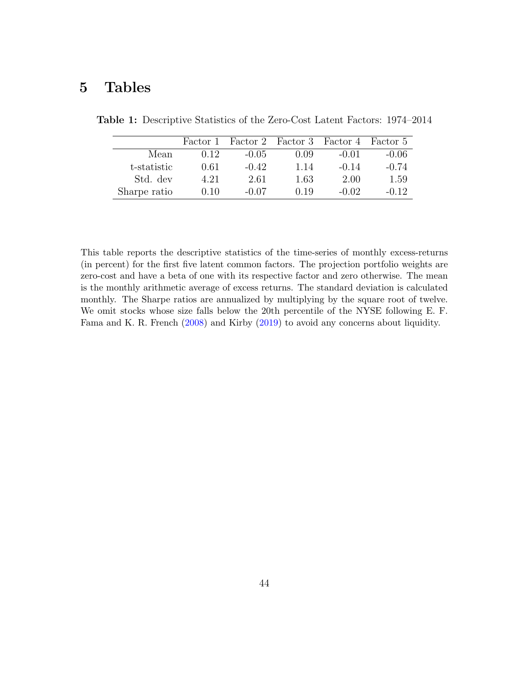# 5 Tables

|              | Factor 1 |         |      | Factor 2 Factor 3 Factor 4 Factor 5 |         |
|--------------|----------|---------|------|-------------------------------------|---------|
| Mean         | 0.12     | $-0.05$ | 0.09 | $-0.01$                             | $-0.06$ |
| t-statistic  | 0.61     | $-0.42$ | 1.14 | $-0.14$                             | $-0.74$ |
| Std. dev     | 4.21     | 2.61    | 1.63 | 2.00                                | 1.59    |
| Sharpe ratio | 0.10     | $-0.07$ | 0.19 | $-0.02$                             | $-0.12$ |

<span id="page-43-0"></span>Table 1: Descriptive Statistics of the Zero-Cost Latent Factors: 1974–2014

This table reports the descriptive statistics of the time-series of monthly excess-returns (in percent) for the first five latent common factors. The projection portfolio weights are zero-cost and have a beta of one with its respective factor and zero otherwise. The mean is the monthly arithmetic average of excess returns. The standard deviation is calculated monthly. The Sharpe ratios are annualized by multiplying by the square root of twelve. We omit stocks whose size falls below the 20th percentile of the NYSE following E. F. Fama and K. R. French [\(2008\)](#page-36-4) and Kirby [\(2019\)](#page-39-1) to avoid any concerns about liquidity.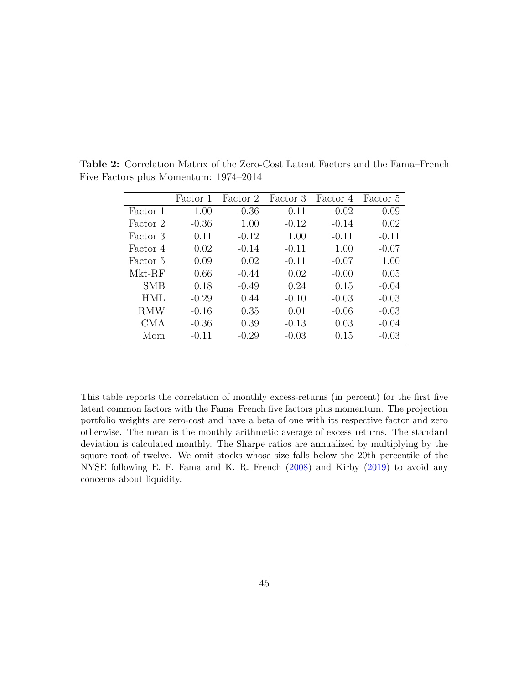|            | Factor 1 | Factor 2 | Factor 3 | Factor 4 | Factor 5 |
|------------|----------|----------|----------|----------|----------|
| Factor 1   | 1.00     | $-0.36$  | 0.11     | 0.02     | 0.09     |
| Factor 2   | $-0.36$  | 1.00     | $-0.12$  | $-0.14$  | 0.02     |
| Factor 3   | 0.11     | $-0.12$  | 1.00     | $-0.11$  | $-0.11$  |
| Factor 4   | 0.02     | $-0.14$  | $-0.11$  | 1.00     | $-0.07$  |
| Factor 5   | 0.09     | 0.02     | $-0.11$  | $-0.07$  | 1.00     |
| Mkt-RF     | 0.66     | $-0.44$  | 0.02     | $-0.00$  | 0.05     |
| SMB        | 0.18     | $-0.49$  | 0.24     | 0.15     | $-0.04$  |
| HML        | $-0.29$  | 0.44     | $-0.10$  | $-0.03$  | $-0.03$  |
| <b>RMW</b> | $-0.16$  | 0.35     | 0.01     | $-0.06$  | $-0.03$  |
| CMA        | $-0.36$  | 0.39     | $-0.13$  | 0.03     | $-0.04$  |
| Mom        | $-0.11$  | $-0.29$  | $-0.03$  | 0.15     | $-0.03$  |

<span id="page-44-0"></span>Table 2: Correlation Matrix of the Zero-Cost Latent Factors and the Fama–French Five Factors plus Momentum: 1974–2014

This table reports the correlation of monthly excess-returns (in percent) for the first five latent common factors with the Fama–French five factors plus momentum. The projection portfolio weights are zero-cost and have a beta of one with its respective factor and zero otherwise. The mean is the monthly arithmetic average of excess returns. The standard deviation is calculated monthly. The Sharpe ratios are annualized by multiplying by the square root of twelve. We omit stocks whose size falls below the 20th percentile of the NYSE following E. F. Fama and K. R. French [\(2008\)](#page-36-4) and Kirby [\(2019\)](#page-39-1) to avoid any concerns about liquidity.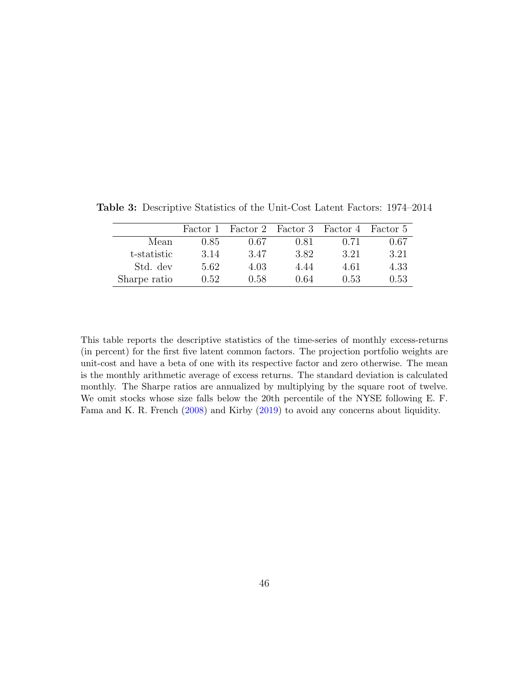|              | Factor 1 |      |      | Factor 2 Factor 3 Factor 4 Factor 5 |      |
|--------------|----------|------|------|-------------------------------------|------|
| Mean         | 0.85     | 0.67 | 0.81 | 0.71                                | 0.67 |
| t-statistic  | 3.14     | 3.47 | 3.82 | 3.21                                | 3.21 |
| Std. dev     | 5.62     | 4.03 | 4.44 | 4.61                                | 4.33 |
| Sharpe ratio | 0.52     | 0.58 | 0.64 | 0.53                                | 0.53 |

<span id="page-45-0"></span>Table 3: Descriptive Statistics of the Unit-Cost Latent Factors: 1974–2014

This table reports the descriptive statistics of the time-series of monthly excess-returns (in percent) for the first five latent common factors. The projection portfolio weights are unit-cost and have a beta of one with its respective factor and zero otherwise. The mean is the monthly arithmetic average of excess returns. The standard deviation is calculated monthly. The Sharpe ratios are annualized by multiplying by the square root of twelve. We omit stocks whose size falls below the 20th percentile of the NYSE following E. F. Fama and K. R. French [\(2008\)](#page-36-4) and Kirby [\(2019\)](#page-39-1) to avoid any concerns about liquidity.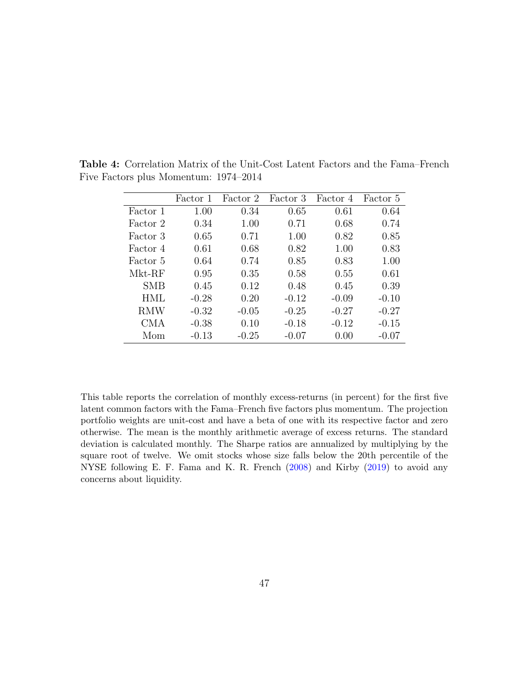|            | Factor 1 | Factor 2 | Factor 3 | Factor 4 | Factor 5 |
|------------|----------|----------|----------|----------|----------|
| Factor 1   | 1.00     | 0.34     | 0.65     | 0.61     | 0.64     |
| Factor 2   | 0.34     | 1.00     | 0.71     | 0.68     | 0.74     |
| Factor 3   | 0.65     | 0.71     | 1.00     | 0.82     | 0.85     |
| Factor 4   | 0.61     | 0.68     | 0.82     | 1.00     | 0.83     |
| Factor 5   | 0.64     | 0.74     | 0.85     | 0.83     | 1.00     |
| Mkt-RF     | 0.95     | 0.35     | 0.58     | 0.55     | 0.61     |
| SMB        | 0.45     | 0.12     | 0.48     | 0.45     | 0.39     |
| HML        | $-0.28$  | 0.20     | $-0.12$  | $-0.09$  | $-0.10$  |
| <b>RMW</b> | $-0.32$  | $-0.05$  | $-0.25$  | $-0.27$  | $-0.27$  |
| CMA        | $-0.38$  | 0.10     | $-0.18$  | $-0.12$  | $-0.15$  |
| Mom        | $-0.13$  | $-0.25$  | $-0.07$  | 0.00     | $-0.07$  |

<span id="page-46-0"></span>Table 4: Correlation Matrix of the Unit-Cost Latent Factors and the Fama–French Five Factors plus Momentum: 1974–2014

This table reports the correlation of monthly excess-returns (in percent) for the first five latent common factors with the Fama–French five factors plus momentum. The projection portfolio weights are unit-cost and have a beta of one with its respective factor and zero otherwise. The mean is the monthly arithmetic average of excess returns. The standard deviation is calculated monthly. The Sharpe ratios are annualized by multiplying by the square root of twelve. We omit stocks whose size falls below the 20th percentile of the NYSE following E. F. Fama and K. R. French [\(2008\)](#page-36-4) and Kirby [\(2019\)](#page-39-1) to avoid any concerns about liquidity.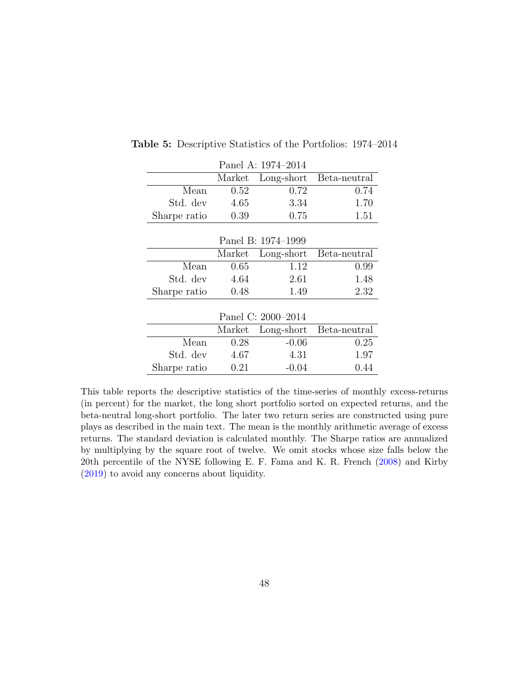| Panel A: 1974-2014 |        |                    |              |  |  |
|--------------------|--------|--------------------|--------------|--|--|
|                    | Market | Long-short         | Beta-neutral |  |  |
| Mean               | 0.52   | 0.72               | 0.74         |  |  |
| Std. dev           | 4.65   | 3.34               | 1.70         |  |  |
| Sharpe ratio       | 0.39   | 0.75               | 1.51         |  |  |
|                    |        |                    |              |  |  |
|                    |        | Panel B: 1974–1999 |              |  |  |
|                    | Market | Long-short         | Beta-neutral |  |  |
| Mean               | 0.65   | 1.12               | 0.99         |  |  |
| Std. dev           | 4.64   | 2.61               | 1.48         |  |  |
| Sharpe ratio       | 0.48   | 1.49               | 2.32         |  |  |
|                    |        |                    |              |  |  |
|                    |        | Panel C: 2000-2014 |              |  |  |
|                    | Market | Long-short         | Beta-neutral |  |  |
| Mean               | 0.28   | $-0.06$            | 0.25         |  |  |
| Std. dev           | 4.67   | 4.31               | 1.97         |  |  |
| Sharpe ratio       | 0.21   | $-0.04$            | 0.44         |  |  |

<span id="page-47-0"></span>Table 5: Descriptive Statistics of the Portfolios: 1974–2014

This table reports the descriptive statistics of the time-series of monthly excess-returns (in percent) for the market, the long short portfolio sorted on expected returns, and the beta-neutral long-short portfolio. The later two return series are constructed using pure plays as described in the main text. The mean is the monthly arithmetic average of excess returns. The standard deviation is calculated monthly. The Sharpe ratios are annualized by multiplying by the square root of twelve. We omit stocks whose size falls below the 20th percentile of the NYSE following E. F. Fama and K. R. French [\(2008\)](#page-36-4) and Kirby [\(2019\)](#page-39-1) to avoid any concerns about liquidity.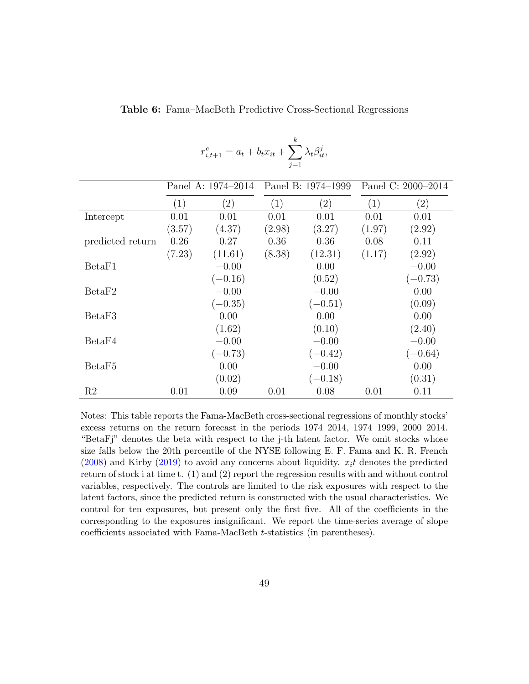|                    |        |                    | $j=1$  |                    |                    |                   |
|--------------------|--------|--------------------|--------|--------------------|--------------------|-------------------|
|                    |        | Panel A: 1974–2014 |        | Panel B: 1974–1999 | Panel C: 2000–2014 |                   |
|                    | (1)    | $\left( 2\right)$  | (1)    | $\left( 2\right)$  | $\left( 1\right)$  | $\left( 2\right)$ |
| Intercept          | 0.01   | 0.01               | 0.01   | 0.01               | 0.01               | 0.01              |
|                    | (3.57) | (4.37)             | (2.98) | (3.27)             | (1.97)             | (2.92)            |
| predicted return   | 0.26   | 0.27               | 0.36   | 0.36               | 0.08               | 0.11              |
|                    | (7.23) | (11.61)            | (8.38) | (12.31)            | (1.17)             | (2.92)            |
| BetaF1             |        | $-0.00$            |        | 0.00               |                    | $-0.00$           |
|                    |        | $(-0.16)$          |        | (0.52)             |                    | $(-0.73)$         |
| BetaF2             |        | $-0.00$            |        | $-0.00$            |                    | 0.00              |
|                    |        | $(-0.35)$          |        | $(-0.51)$          |                    | (0.09)            |
| BetaF3             |        | 0.00               |        | 0.00               |                    | 0.00              |
|                    |        | (1.62)             |        | (0.10)             |                    | (2.40)            |
| BetaF4             |        | $-0.00$            |        | $-0.00$            |                    | $-0.00$           |
|                    |        | $(-0.73)$          |        | $(-0.42)$          |                    | $(-0.64)$         |
| BetaF <sub>5</sub> |        | 0.00               |        | $-0.00$            |                    | 0.00              |
|                    |        | (0.02)             |        | $(-0.18)$          |                    | (0.31)            |
| R2                 | 0.01   | 0.09               | 0.01   | 0.08               | 0.01               | 0.11              |

<span id="page-48-0"></span>Table 6: Fama–MacBeth Predictive Cross-Sectional Regressions

k

 $\lambda_t \beta_{it}^j$ 

 $r_{i,t+1}^e = a_t + b_t x_{it} + \sum$ 

Notes: This table reports the Fama-MacBeth cross-sectional regressions of monthly stocks' excess returns on the return forecast in the periods 1974–2014, 1974–1999, 2000–2014. "BetaFj" denotes the beta with respect to the j-th latent factor. We omit stocks whose size falls below the 20th percentile of the NYSE following E. F. Fama and K. R. French  $(2008)$  and Kirby  $(2019)$  to avoid any concerns about liquidity.  $x<sub>i</sub>$  denotes the predicted return of stock i at time t. (1) and (2) report the regression results with and without control variables, respectively. The controls are limited to the risk exposures with respect to the latent factors, since the predicted return is constructed with the usual characteristics. We control for ten exposures, but present only the first five. All of the coefficients in the corresponding to the exposures insignificant. We report the time-series average of slope coefficients associated with Fama-MacBeth t-statistics (in parentheses).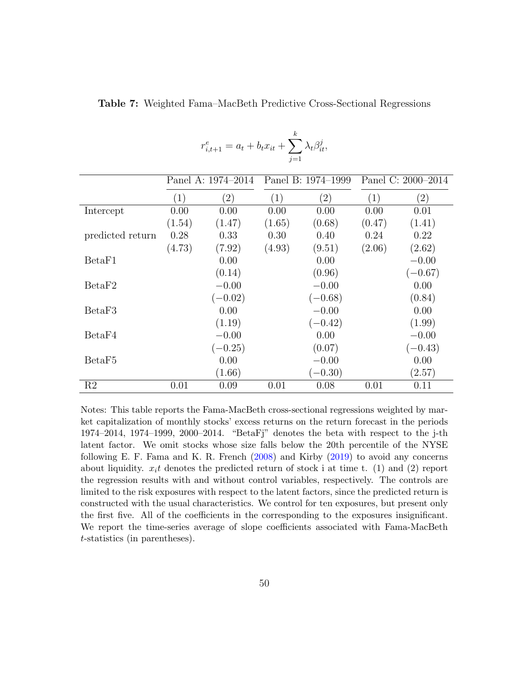|                    |                    | $r_{i,t+1}^e = a_t + b_t x_{it} + \sum_i \lambda_i \beta_{it}^j,$ | $i=1$             |                    |        |                    |  |
|--------------------|--------------------|-------------------------------------------------------------------|-------------------|--------------------|--------|--------------------|--|
|                    | Panel A: 1974–2014 |                                                                   |                   | Panel B: 1974–1999 |        | Panel C: 2000-2014 |  |
|                    | (1)                | $\left( 2\right)$                                                 | $\left( 1\right)$ | $\left( 2\right)$  | (1)    | $\left( 2\right)$  |  |
| Intercept          | 0.00               | 0.00                                                              | 0.00              | 0.00               | 0.00   | 0.01               |  |
|                    | (1.54)             | (1.47)                                                            | (1.65)            | (0.68)             | (0.47) | (1.41)             |  |
| predicted return   | 0.28               | 0.33                                                              | 0.30              | 0.40               | 0.24   | 0.22               |  |
|                    | (4.73)             | (7.92)                                                            | (4.93)            | (9.51)             | (2.06) | (2.62)             |  |
| BetaF1             |                    | 0.00                                                              |                   | 0.00               |        | $-0.00$            |  |
|                    |                    | (0.14)                                                            |                   | (0.96)             |        | $(-0.67)$          |  |
| BetaF2             |                    | $-0.00$                                                           |                   | $-0.00$            |        | 0.00               |  |
|                    |                    | $(-0.02)$                                                         |                   | $(-0.68)$          |        | (0.84)             |  |
| BetaF3             |                    | 0.00                                                              |                   | $-0.00$            |        | 0.00               |  |
|                    |                    | (1.19)                                                            |                   | $(-0.42)$          |        | (1.99)             |  |
| BetaF4             |                    | $-0.00$                                                           |                   | 0.00               |        | $-0.00$            |  |
|                    |                    | $(-0.25)$                                                         |                   | (0.07)             |        | $(-0.43)$          |  |
| BetaF <sub>5</sub> |                    | 0.00                                                              |                   | $-0.00$            |        | 0.00               |  |
|                    |                    | (1.66)                                                            |                   | $(-0.30)$          |        | (2.57)             |  |
| R2                 | 0.01               | 0.09                                                              | 0.01              | 0.08               | 0.01   | 0.11               |  |

<span id="page-49-0"></span>Table 7: Weighted Fama–MacBeth Predictive Cross-Sectional Regressions

k

Notes: This table reports the Fama-MacBeth cross-sectional regressions weighted by market capitalization of monthly stocks' excess returns on the return forecast in the periods 1974–2014, 1974–1999, 2000–2014. "BetaFj" denotes the beta with respect to the j-th latent factor. We omit stocks whose size falls below the 20th percentile of the NYSE following E. F. Fama and K. R. French [\(2008\)](#page-36-4) and Kirby [\(2019\)](#page-39-1) to avoid any concerns about liquidity.  $x_i t$  denotes the predicted return of stock i at time t. (1) and (2) report the regression results with and without control variables, respectively. The controls are limited to the risk exposures with respect to the latent factors, since the predicted return is constructed with the usual characteristics. We control for ten exposures, but present only the first five. All of the coefficients in the corresponding to the exposures insignificant. We report the time-series average of slope coefficients associated with Fama-MacBeth t-statistics (in parentheses).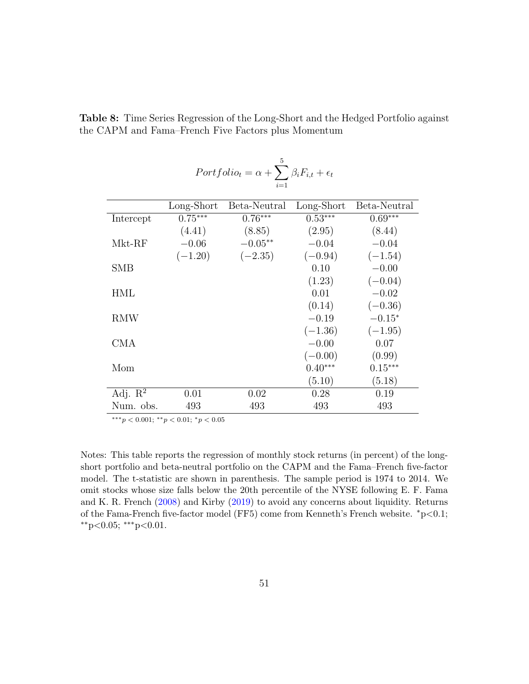| $Portbolic_t = \alpha + \sum \beta_i F_{i,t} + \epsilon_t$ |            |              |            |              |  |  |
|------------------------------------------------------------|------------|--------------|------------|--------------|--|--|
|                                                            |            | $i=1$        |            |              |  |  |
|                                                            | Long-Short | Beta-Neutral | Long-Short | Beta-Neutral |  |  |
| Intercept                                                  | $0.75***$  | $0.76***$    | $0.53***$  | $0.69***$    |  |  |
|                                                            | (4.41)     | (8.85)       | (2.95)     | (8.44)       |  |  |
| $Mkt-RF$                                                   | $-0.06$    | $-0.05**$    | $-0.04$    | $-0.04$      |  |  |
|                                                            | $(-1.20)$  | $(-2.35)$    | $(-0.94)$  | $(-1.54)$    |  |  |
| <b>SMB</b>                                                 |            |              | 0.10       | $-0.00$      |  |  |
|                                                            |            |              | (1.23)     | $(-0.04)$    |  |  |
| HML                                                        |            |              | 0.01       | $-0.02$      |  |  |
|                                                            |            |              | (0.14)     | $(-0.36)$    |  |  |
| RMW                                                        |            |              | $-0.19$    | $-0.15*$     |  |  |
|                                                            |            |              | $(-1.36)$  | $(-1.95)$    |  |  |
| CMA                                                        |            |              | $-0.00$    | 0.07         |  |  |
|                                                            |            |              | $(-0.00)$  | (0.99)       |  |  |
| Mom                                                        |            |              | $0.40***$  | $0.15***$    |  |  |
|                                                            |            |              | (5.10)     | (5.18)       |  |  |
| Adj. $\mathbb{R}^2$                                        | 0.01       | 0.02         | 0.28       | 0.19         |  |  |
| Num. obs.                                                  | 493        | 493          | 493        | 493          |  |  |

Table 8: Time Series Regression of the Long-Short and the Hedged Portfolio against the CAPM and Fama–French Five Factors plus Momentum

∗∗∗p < 0.001; ∗∗p < 0.01; <sup>∗</sup>p < 0.05

Notes: This table reports the regression of monthly stock returns (in percent) of the longshort portfolio and beta-neutral portfolio on the CAPM and the Fama–French five-factor model. The t-statistic are shown in parenthesis. The sample period is 1974 to 2014. We omit stocks whose size falls below the 20th percentile of the NYSE following E. F. Fama and K. R. French [\(2008\)](#page-36-4) and Kirby [\(2019\)](#page-39-1) to avoid any concerns about liquidity. Returns of the Fama-French five-factor model (FF5) come from Kenneth's French website.  $p\geq 0.1$ ;  $*$ <sup>\*</sup>p<0.05;  $*$ <sup>\*</sup>p<0.01.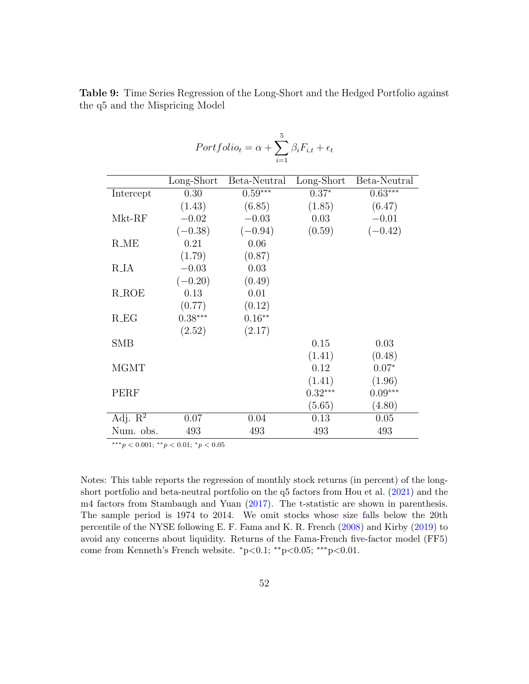|                     |            | $i=1$        |            |              |
|---------------------|------------|--------------|------------|--------------|
|                     | Long-Short | Beta-Neutral | Long-Short | Beta-Neutral |
| Intercept           | 0.30       | $0.59***$    | $0.37*$    | $0.63***$    |
|                     | (1.43)     | (6.85)       | (1.85)     | (6.47)       |
| Mkt-RF              | $-0.02$    | $-0.03$      | 0.03       | $-0.01$      |
|                     | $(-0.38)$  | $(-0.94)$    | (0.59)     | $(-0.42)$    |
| <b>R_ME</b>         | 0.21       | 0.06         |            |              |
|                     | (1.79)     | (0.87)       |            |              |
| <b>R_IA</b>         | $-0.03$    | 0.03         |            |              |
|                     | $(-0.20)$  | (0.49)       |            |              |
| $R$ <sub>-ROE</sub> | 0.13       | 0.01         |            |              |
|                     | (0.77)     | (0.12)       |            |              |
| $R_E$               | $0.38***$  | $0.16**$     |            |              |
|                     | (2.52)     | (2.17)       |            |              |
| SMB                 |            |              | 0.15       | 0.03         |
|                     |            |              | (1.41)     | (0.48)       |
| <b>MGMT</b>         |            |              | 0.12       | $0.07*$      |
|                     |            |              | (1.41)     | (1.96)       |
| PERF                |            |              | $0.32***$  | $0.09***$    |
|                     |            |              | (5.65)     | (4.80)       |
| Adj. $\mathbb{R}^2$ | 0.07       | 0.04         | 0.13       | 0.05         |
| Num. obs.           | 493        | 493          | 493        | 493          |

Table 9: Time Series Regression of the Long-Short and the Hedged Portfolio against the q5 and the Mispricing Model

 $\beta_i F_{i,t} + \epsilon_t$ 

 $Portfolio_t = \alpha + \sum$ 

∗∗∗p < 0.001; ∗∗p < 0.01; <sup>∗</sup>p < 0.05

Notes: This table reports the regression of monthly stock returns (in percent) of the longshort portfolio and beta-neutral portfolio on the q5 factors from Hou et al. [\(2021\)](#page-38-5) and the m4 factors from Stambaugh and Yuan [\(2017\)](#page-42-3). The t-statistic are shown in parenthesis. The sample period is 1974 to 2014. We omit stocks whose size falls below the 20th percentile of the NYSE following E. F. Fama and K. R. French [\(2008\)](#page-36-4) and Kirby [\(2019\)](#page-39-1) to avoid any concerns about liquidity. Returns of the Fama-French five-factor model (FF5) come from Kenneth's French website.  $*p<0.1$ ; \*\* $p<0.05$ ; \*\*\* $p<0.01$ .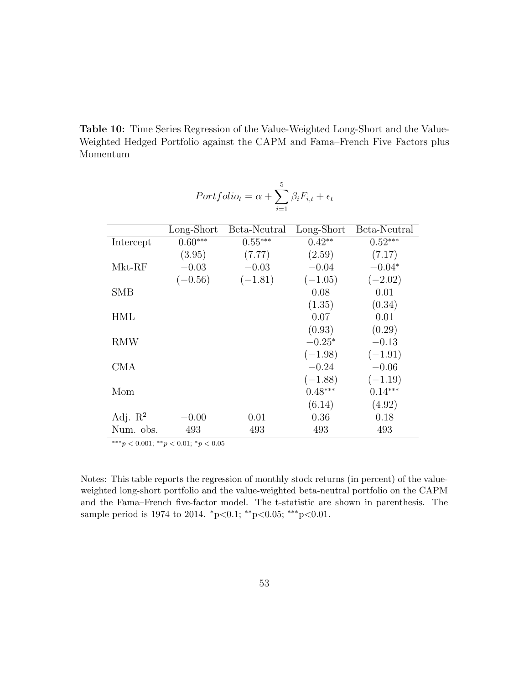Table 10: Time Series Regression of the Value-Weighted Long-Short and the Value-Weighted Hedged Portfolio against the CAPM and Fama–French Five Factors plus Momentum

<span id="page-52-0"></span>

|                     | $Portbolic_t = \alpha + \sum \beta_i F_{i,t} + \epsilon_t$ |              |            |              |  |  |
|---------------------|------------------------------------------------------------|--------------|------------|--------------|--|--|
|                     |                                                            | $i=1$        |            |              |  |  |
|                     | Long-Short                                                 | Beta-Neutral | Long-Short | Beta-Neutral |  |  |
| Intercept           | $0.60***$                                                  | $0.55***$    | $0.42**$   | $0.52***$    |  |  |
|                     | (3.95)                                                     | (7.77)       | (2.59)     | (7.17)       |  |  |
| Mkt-RF              | $-0.03$                                                    | $-0.03$      | $-0.04$    | $-0.04*$     |  |  |
|                     | $(-0.56)$                                                  | $(-1.81)$    | $(-1.05)$  | $(-2.02)$    |  |  |
| <b>SMB</b>          |                                                            |              | 0.08       | 0.01         |  |  |
|                     |                                                            |              | (1.35)     | (0.34)       |  |  |
| HML                 |                                                            |              | 0.07       | 0.01         |  |  |
|                     |                                                            |              | (0.93)     | (0.29)       |  |  |
| RMW                 |                                                            |              | $-0.25*$   | $-0.13$      |  |  |
|                     |                                                            |              | $(-1.98)$  | $(-1.91)$    |  |  |
| CMA                 |                                                            |              | $-0.24$    | $-0.06$      |  |  |
|                     |                                                            |              | $(-1.88)$  | $(-1.19)$    |  |  |
| Mom                 |                                                            |              | $0.48***$  | $0.14***$    |  |  |
|                     |                                                            |              | (6.14)     | (4.92)       |  |  |
| Adj. $\mathbb{R}^2$ | $-0.00$                                                    | 0.01         | 0.36       | 0.18         |  |  |
| Num. obs.           | 493                                                        | 493          | 493        | 493          |  |  |

∗∗∗p < 0.001; ∗∗p < 0.01; <sup>∗</sup>p < 0.05

Notes: This table reports the regression of monthly stock returns (in percent) of the valueweighted long-short portfolio and the value-weighted beta-neutral portfolio on the CAPM and the Fama–French five-factor model. The t-statistic are shown in parenthesis. The sample period is 1974 to 2014.  $p<0.1$ ; \*\*p<0.05; \*\*\*p<0.01.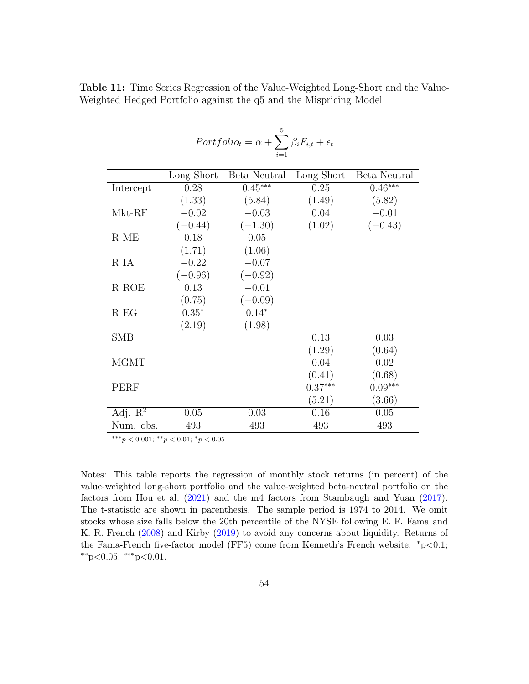| $Portbolic_t = \alpha + \sum \beta_i F_{i,t} + \epsilon_t$ |            |              |            |              |  |
|------------------------------------------------------------|------------|--------------|------------|--------------|--|
|                                                            |            |              |            |              |  |
|                                                            | Long-Short | Beta-Neutral | Long-Short | Beta-Neutral |  |
| Intercept                                                  | 0.28       | $0.45***$    | 0.25       | $0.46***$    |  |
|                                                            | (1.33)     | (5.84)       | (1.49)     | (5.82)       |  |
| Mkt-RF                                                     | $-0.02$    | $-0.03$      | 0.04       | $-0.01$      |  |
|                                                            | $(-0.44)$  | $(-1.30)$    | (1.02)     | $(-0.43)$    |  |
| $R$ <sub>-ME</sub>                                         | 0.18       | 0.05         |            |              |  |
|                                                            | (1.71)     | (1.06)       |            |              |  |
| R <sub>J</sub> A                                           | $-0.22$    | $-0.07$      |            |              |  |
|                                                            | $(-0.96)$  | $(-0.92)$    |            |              |  |
| $R$ -ROE                                                   | 0.13       | $-0.01$      |            |              |  |
|                                                            | (0.75)     | $(-0.09)$    |            |              |  |
| $R\_EG$                                                    | $0.35*$    | $0.14*$      |            |              |  |
|                                                            | (2.19)     | (1.98)       |            |              |  |
| <b>SMB</b>                                                 |            |              | 0.13       | 0.03         |  |
|                                                            |            |              | (1.29)     | (0.64)       |  |
| <b>MGMT</b>                                                |            |              | 0.04       | 0.02         |  |
|                                                            |            |              | (0.41)     | (0.68)       |  |
| PERF                                                       |            |              | $0.37***$  | $0.09***$    |  |
|                                                            |            |              | (5.21)     | (3.66)       |  |
| Adj. $\mathbb{R}^2$                                        | 0.05       | 0.03         | 0.16       | 0.05         |  |
| Num. obs.                                                  | 493        | 493          | 493        | 493          |  |

<span id="page-53-0"></span>Table 11: Time Series Regression of the Value-Weighted Long-Short and the Value-Weighted Hedged Portfolio against the q5 and the Mispricing Model

 $***p<0.001;$   $**p<0.01;$   $*p<0.05$ 

Notes: This table reports the regression of monthly stock returns (in percent) of the value-weighted long-short portfolio and the value-weighted beta-neutral portfolio on the factors from Hou et al. [\(2021\)](#page-38-5) and the m4 factors from Stambaugh and Yuan [\(2017\)](#page-42-3). The t-statistic are shown in parenthesis. The sample period is 1974 to 2014. We omit stocks whose size falls below the 20th percentile of the NYSE following E. F. Fama and K. R. French [\(2008\)](#page-36-4) and Kirby [\(2019\)](#page-39-1) to avoid any concerns about liquidity. Returns of the Fama-French five-factor model (FF5) come from Kenneth's French website. <sup>∗</sup>p<0.1;  $*$ <sup>\*</sup>p<0.05;  $*$ <sup>\*</sup>p<0.01.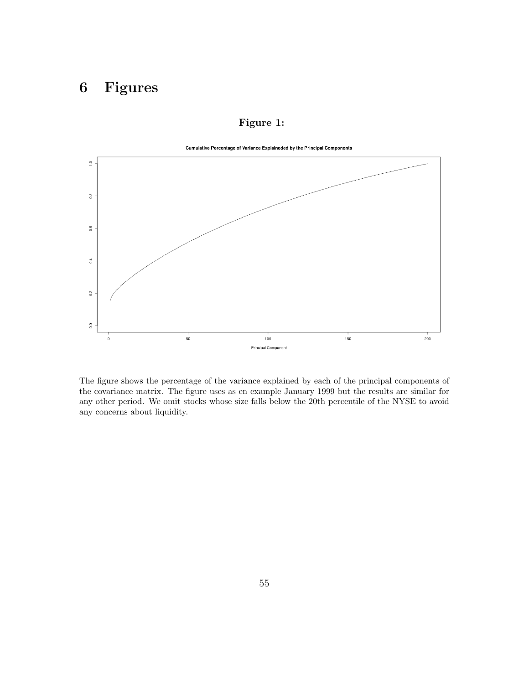# 6 Figures

<span id="page-54-0"></span>

#### Figure 1:

The figure shows the percentage of the variance explained by each of the principal components of the covariance matrix. The figure uses as en example January 1999 but the results are similar for any other period. We omit stocks whose size falls below the 20th percentile of the NYSE to avoid any concerns about liquidity.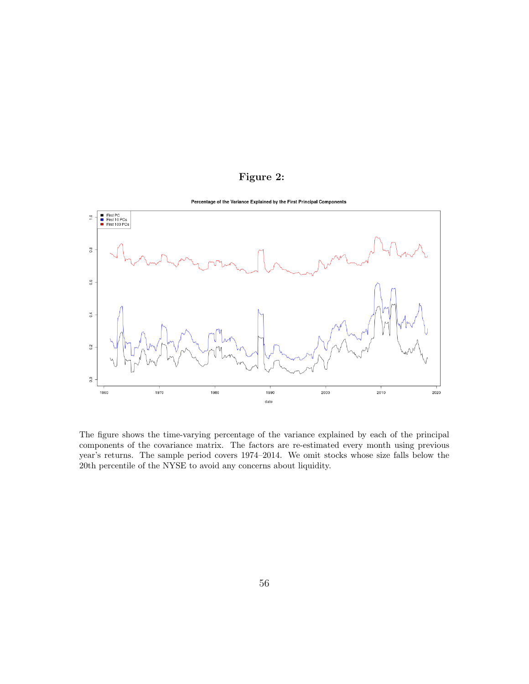### Figure 2:

<span id="page-55-0"></span>

The figure shows the time-varying percentage of the variance explained by each of the principal components of the covariance matrix. The factors are re-estimated every month using previous year's returns. The sample period covers 1974–2014. We omit stocks whose size falls below the 20th percentile of the NYSE to avoid any concerns about liquidity.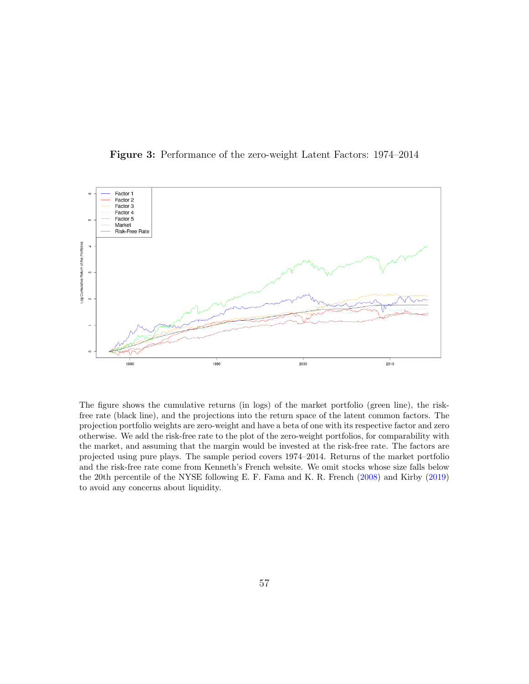Figure 3: Performance of the zero-weight Latent Factors: 1974–2014

<span id="page-56-0"></span>

The figure shows the cumulative returns (in logs) of the market portfolio (green line), the riskfree rate (black line), and the projections into the return space of the latent common factors. The projection portfolio weights are zero-weight and have a beta of one with its respective factor and zero otherwise. We add the risk-free rate to the plot of the zero-weight portfolios, for comparability with the market, and assuming that the margin would be invested at the risk-free rate. The factors are projected using pure plays. The sample period covers 1974–2014. Returns of the market portfolio and the risk-free rate come from Kenneth's French website. We omit stocks whose size falls below the 20th percentile of the NYSE following E. F. Fama and K. R. French [\(2008\)](#page-36-4) and Kirby [\(2019\)](#page-39-1) to avoid any concerns about liquidity.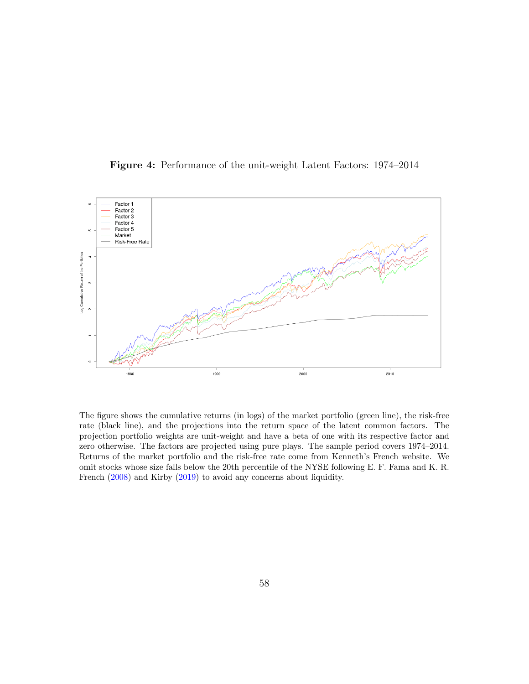Figure 4: Performance of the unit-weight Latent Factors: 1974–2014

<span id="page-57-0"></span>

The figure shows the cumulative returns (in logs) of the market portfolio (green line), the risk-free rate (black line), and the projections into the return space of the latent common factors. The projection portfolio weights are unit-weight and have a beta of one with its respective factor and zero otherwise. The factors are projected using pure plays. The sample period covers 1974–2014. Returns of the market portfolio and the risk-free rate come from Kenneth's French website. We omit stocks whose size falls below the 20th percentile of the NYSE following E. F. Fama and K. R. French [\(2008\)](#page-36-4) and Kirby [\(2019\)](#page-39-1) to avoid any concerns about liquidity.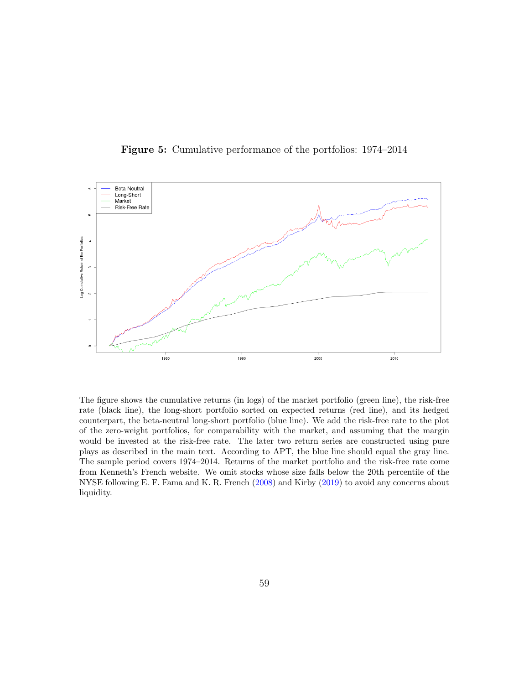<span id="page-58-0"></span>

Figure 5: Cumulative performance of the portfolios: 1974–2014

The figure shows the cumulative returns (in logs) of the market portfolio (green line), the risk-free rate (black line), the long-short portfolio sorted on expected returns (red line), and its hedged counterpart, the beta-neutral long-short portfolio (blue line). We add the risk-free rate to the plot of the zero-weight portfolios, for comparability with the market, and assuming that the margin would be invested at the risk-free rate. The later two return series are constructed using pure plays as described in the main text. According to APT, the blue line should equal the gray line. The sample period covers 1974–2014. Returns of the market portfolio and the risk-free rate come from Kenneth's French website. We omit stocks whose size falls below the 20th percentile of the NYSE following E. F. Fama and K. R. French [\(2008\)](#page-36-4) and Kirby [\(2019\)](#page-39-1) to avoid any concerns about liquidity.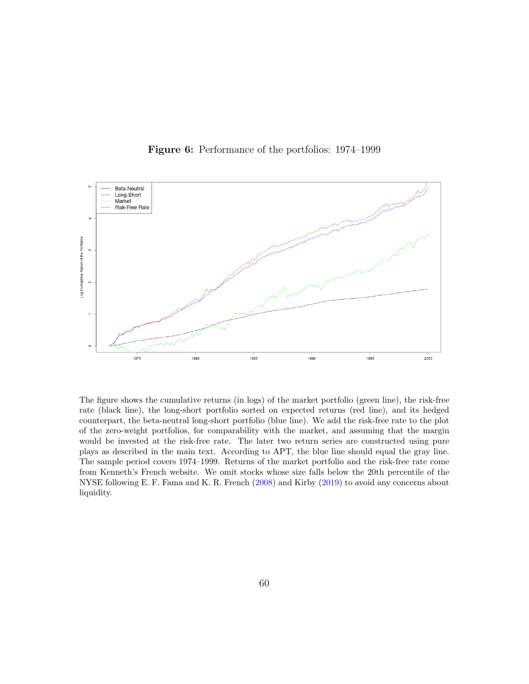<span id="page-59-0"></span>

Figure 6: Performance of the portfolios: 1974–1999

The figure shows the cumulative returns (in logs) of the market portfolio (green line), the risk-free rate (black line), the long-short portfolio sorted on expected returns (red line), and its hedged counterpart, the beta-neutral long-short portfolio (blue line). We add the risk-free rate to the plot of the zero-weight portfolios, for comparability with the market, and assuming that the margin would be invested at the risk-free rate. The later two return series are constructed using pure plays as described in the main text. According to APT, the blue line should equal the gray line. The sample period covers 1974–1999. Returns of the market portfolio and the risk-free rate come from Kenneth's French website. We omit stocks whose size falls below the 20th percentile of the NYSE following E. F. Fama and K. R. French [\(2008\)](#page-36-4) and Kirby [\(2019\)](#page-39-1) to avoid any concerns about liquidity.